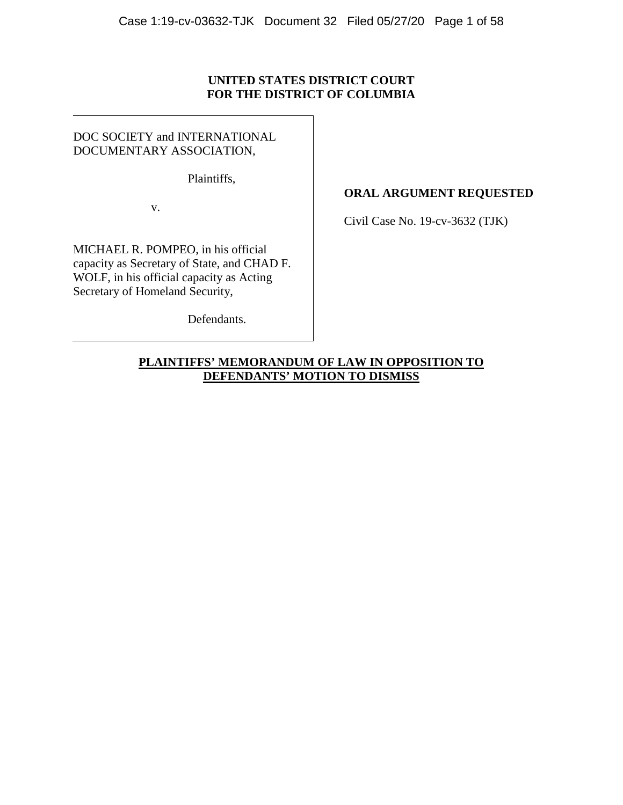# **UNITED STATES DISTRICT COURT FOR THE DISTRICT OF COLUMBIA**

DOC SOCIETY and INTERNATIONAL DOCUMENTARY ASSOCIATION,

Plaintiffs,

v.

MICHAEL R. POMPEO, in his official capacity as Secretary of State, and CHAD F. WOLF, in his official capacity as Acting Secretary of Homeland Security,

Defendants.

# **ORAL ARGUMENT REQUESTED**

Civil Case No. 19-cv-3632 (TJK)

**PLAINTIFFS' MEMORANDUM OF LAW IN OPPOSITION TO DEFENDANTS' MOTION TO DISMISS**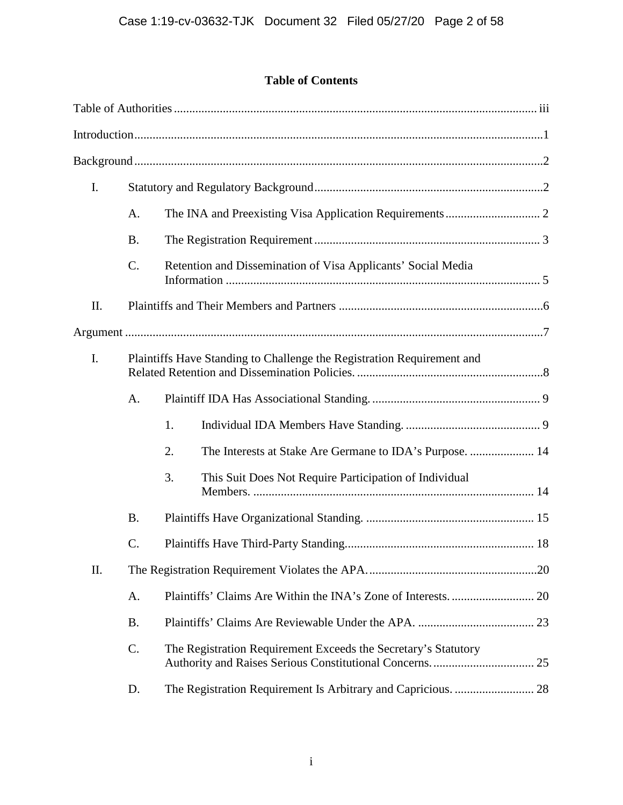# **Table of Contents**

| I.  |                 |                                                                        |  |
|-----|-----------------|------------------------------------------------------------------------|--|
|     | A.              |                                                                        |  |
|     | <b>B.</b>       |                                                                        |  |
|     | $C$ .           | Retention and Dissemination of Visa Applicants' Social Media           |  |
| Π.  |                 |                                                                        |  |
|     |                 |                                                                        |  |
| I.  |                 | Plaintiffs Have Standing to Challenge the Registration Requirement and |  |
|     | A.              |                                                                        |  |
|     |                 | 1.                                                                     |  |
|     |                 | 2.<br>The Interests at Stake Are Germane to IDA's Purpose.  14         |  |
|     |                 | 3.<br>This Suit Does Not Require Participation of Individual           |  |
|     | <b>B.</b>       |                                                                        |  |
|     | $\mathcal{C}$ . |                                                                        |  |
| II. |                 |                                                                        |  |
|     | A.              |                                                                        |  |
|     | <b>B.</b>       |                                                                        |  |
|     | C.              | The Registration Requirement Exceeds the Secretary's Statutory         |  |
|     | D.              |                                                                        |  |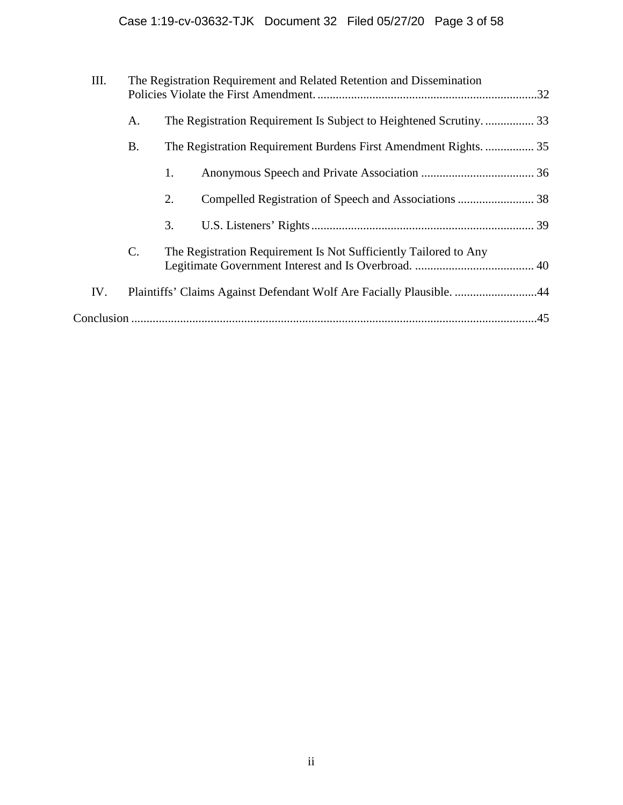| III. | The Registration Requirement and Related Retention and Dissemination |    |                                                                      |     |
|------|----------------------------------------------------------------------|----|----------------------------------------------------------------------|-----|
|      | А.                                                                   |    | The Registration Requirement Is Subject to Heightened Scrutiny 33    |     |
|      | B.                                                                   |    | The Registration Requirement Burdens First Amendment Rights 35       |     |
|      |                                                                      | 1. |                                                                      |     |
|      |                                                                      | 2. |                                                                      |     |
|      |                                                                      | 3. |                                                                      |     |
|      | $\mathcal{C}$ .                                                      |    | The Registration Requirement Is Not Sufficiently Tailored to Any     |     |
| IV.  |                                                                      |    | Plaintiffs' Claims Against Defendant Wolf Are Facially Plausible. 44 |     |
|      |                                                                      |    |                                                                      | .45 |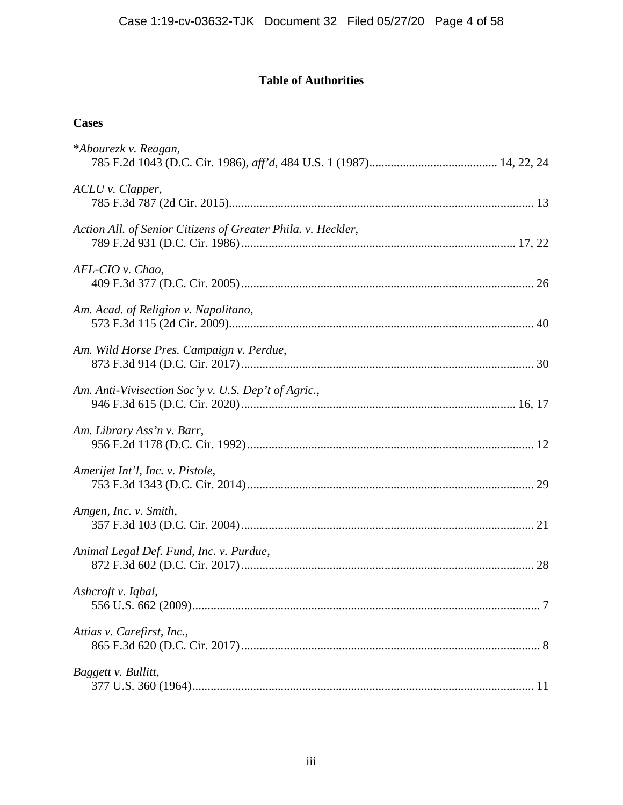# **Table of Authorities**

# **Cases**

| *Abourezk v. Reagan,                                         |
|--------------------------------------------------------------|
| ACLU v. Clapper,                                             |
| Action All. of Senior Citizens of Greater Phila. v. Heckler, |
| AFL-CIO v. Chao,                                             |
| Am. Acad. of Religion v. Napolitano,                         |
| Am. Wild Horse Pres. Campaign v. Perdue,                     |
| Am. Anti-Vivisection Soc'y v. U.S. Dep't of Agric.,          |
| Am. Library Ass'n v. Barr,                                   |
| Amerijet Int'l, Inc. v. Pistole,                             |
| Amgen, Inc. v. Smith,                                        |
| Animal Legal Def. Fund, Inc. v. Purdue,                      |
| Ashcroft v. Iqbal,                                           |
| Attias v. Carefirst, Inc.,                                   |
| Baggett v. Bullitt,                                          |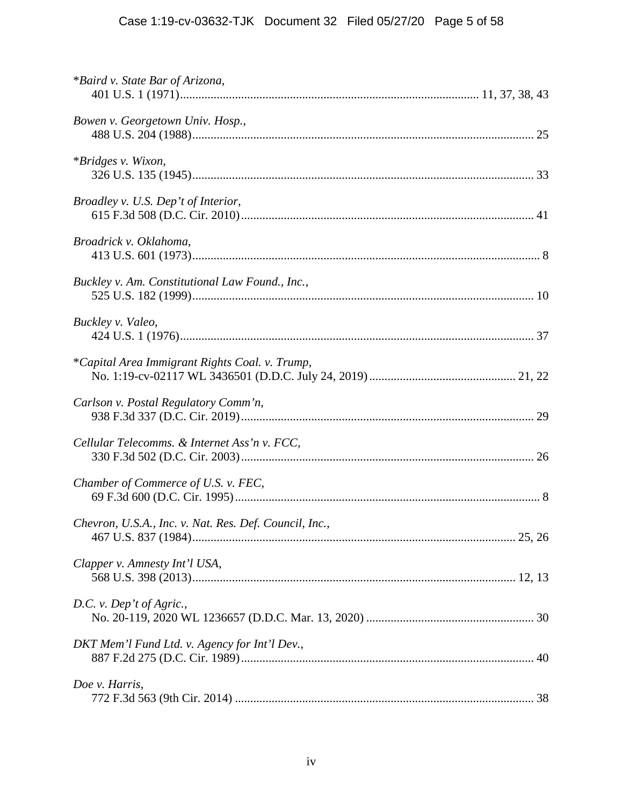| *Baird v. State Bar of Arizona,                        |
|--------------------------------------------------------|
| Bowen v. Georgetown Univ. Hosp.,                       |
| <i>*Bridges v. Wixon,</i>                              |
| Broadley v. U.S. Dep't of Interior,                    |
| Broadrick v. Oklahoma,                                 |
| Buckley v. Am. Constitutional Law Found., Inc.,        |
| Buckley v. Valeo,                                      |
| *Capital Area Immigrant Rights Coal. v. Trump,         |
| Carlson v. Postal Regulatory Comm'n,                   |
| Cellular Telecomms. & Internet Ass'n v. FCC,           |
| Chamber of Commerce of U.S. v. FEC,                    |
| Chevron, U.S.A., Inc. v. Nat. Res. Def. Council, Inc., |
| Clapper v. Amnesty Int'l USA,                          |
| D.C. v. Dep't of Agric.,                               |
| DKT Mem'l Fund Ltd. v. Agency for Int'l Dev.,          |
| Doe v. Harris,                                         |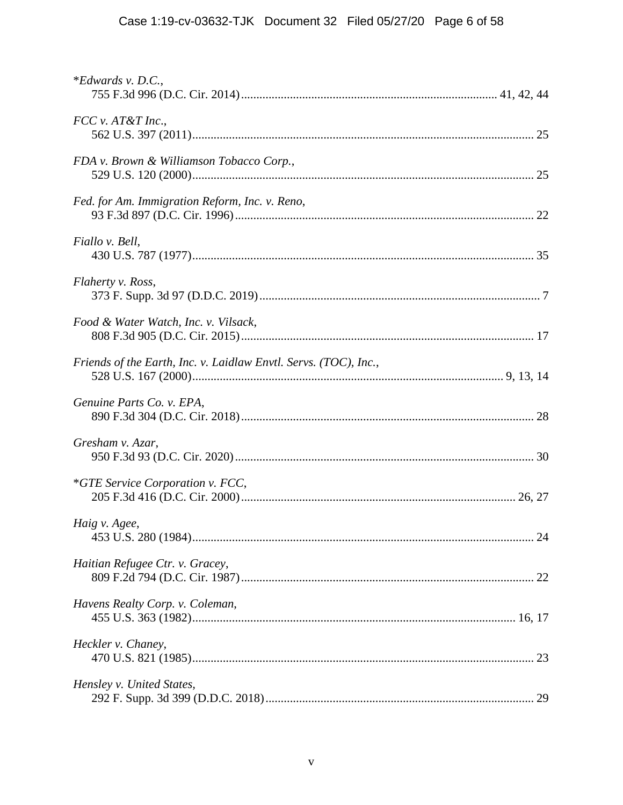| $*Edwards$ v. D.C.,                                              |  |
|------------------------------------------------------------------|--|
| $FCC$ v. $AT&T$ Inc.,                                            |  |
| FDA v. Brown & Williamson Tobacco Corp.,                         |  |
| Fed. for Am. Immigration Reform, Inc. v. Reno,                   |  |
| Fiallo v. Bell,                                                  |  |
| Flaherty v. Ross,                                                |  |
| Food & Water Watch, Inc. v. Vilsack,                             |  |
| Friends of the Earth, Inc. v. Laidlaw Envtl. Servs. (TOC), Inc., |  |
| Genuine Parts Co. v. EPA,                                        |  |
| Gresham v. Azar,                                                 |  |
| <i>*GTE Service Corporation v. FCC,</i>                          |  |
| Haig v. Agee,                                                    |  |
| Haitian Refugee Ctr. v. Gracey,                                  |  |
| Havens Realty Corp. v. Coleman,                                  |  |
| Heckler v. Chaney,                                               |  |
| Hensley v. United States,                                        |  |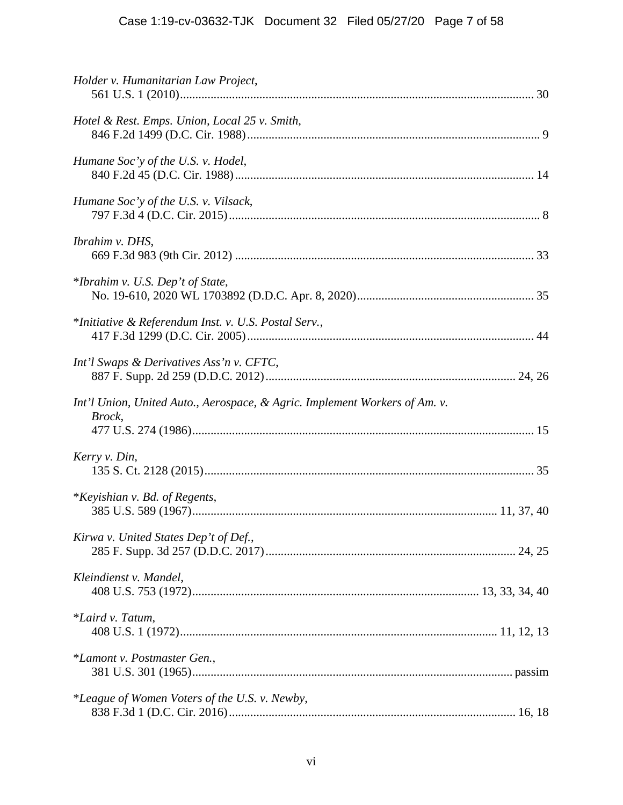# Case 1:19-cv-03632-TJK Document 32 Filed 05/27/20 Page 7 of 58

| Holder v. Humanitarian Law Project,                                                  |
|--------------------------------------------------------------------------------------|
| Hotel & Rest. Emps. Union, Local 25 v. Smith,                                        |
| Humane Soc'y of the U.S. v. Hodel,                                                   |
| Humane Soc'y of the U.S. v. Vilsack,                                                 |
| Ibrahim v. DHS,                                                                      |
| *Ibrahim v. U.S. Dep't of State,                                                     |
| *Initiative & Referendum Inst. v. U.S. Postal Serv.,                                 |
| Int'l Swaps & Derivatives Ass'n v. CFTC,                                             |
| Int'l Union, United Auto., Aerospace, & Agric. Implement Workers of Am. v.<br>Brock, |
| Kerry v. Din,                                                                        |
| *Keyishian v. Bd. of Regents,                                                        |
| Kirwa v. United States Dep't of Def.,                                                |
| Kleindienst v. Mandel,                                                               |
| *Laird v. Tatum,                                                                     |
| *Lamont v. Postmaster Gen.,                                                          |
| *League of Women Voters of the U.S. v. Newby,                                        |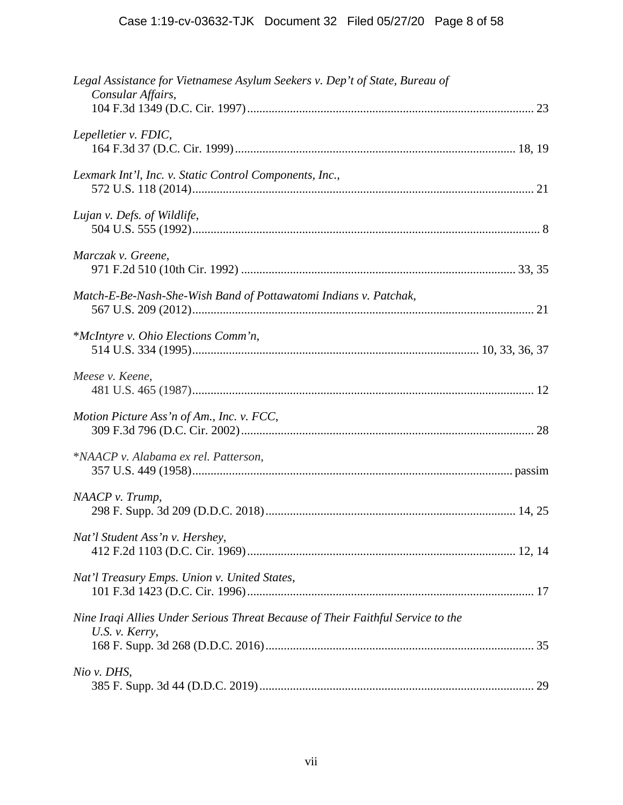| Legal Assistance for Vietnamese Asylum Seekers v. Dep't of State, Bureau of<br>Consular Affairs,  |
|---------------------------------------------------------------------------------------------------|
| Lepelletier v. FDIC,                                                                              |
| Lexmark Int'l, Inc. v. Static Control Components, Inc.,                                           |
| Lujan v. Defs. of Wildlife,                                                                       |
| Marczak v. Greene,                                                                                |
| Match-E-Be-Nash-She-Wish Band of Pottawatomi Indians v. Patchak,                                  |
| *McIntyre v. Ohio Elections Comm'n,                                                               |
| Meese v. Keene,                                                                                   |
| Motion Picture Ass'n of Am., Inc. v. FCC,                                                         |
| *NAACP v. Alabama ex rel. Patterson,                                                              |
| NAACP v. Trump,                                                                                   |
| Nat'l Student Ass'n v. Hershey,                                                                   |
| Nat'l Treasury Emps. Union v. United States,                                                      |
| Nine Iraqi Allies Under Serious Threat Because of Their Faithful Service to the<br>U.S. v. Kerry, |
| Nio v. DHS,                                                                                       |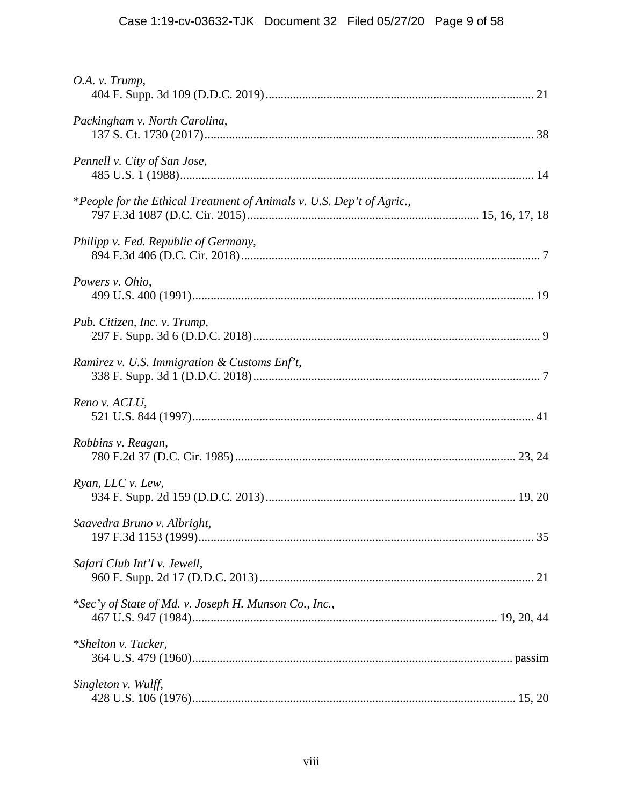| O.A. v. Trump,                                                        |  |
|-----------------------------------------------------------------------|--|
| Packingham v. North Carolina,                                         |  |
| Pennell v. City of San Jose,                                          |  |
| *People for the Ethical Treatment of Animals v. U.S. Dep't of Agric., |  |
| Philipp v. Fed. Republic of Germany,                                  |  |
| Powers v. Ohio,                                                       |  |
| Pub. Citizen, Inc. v. Trump,                                          |  |
| Ramirez v. U.S. Immigration & Customs Enf't,                          |  |
| Reno v. ACLU,                                                         |  |
| Robbins v. Reagan,                                                    |  |
| Ryan, LLC v. Lew,                                                     |  |
| Saavedra Bruno v. Albright,                                           |  |
| Safari Club Int'l v. Jewell,                                          |  |
| *Sec'y of State of Md. v. Joseph H. Munson Co., Inc.,                 |  |
| *Shelton v. Tucker,                                                   |  |
| Singleton v. Wulff,                                                   |  |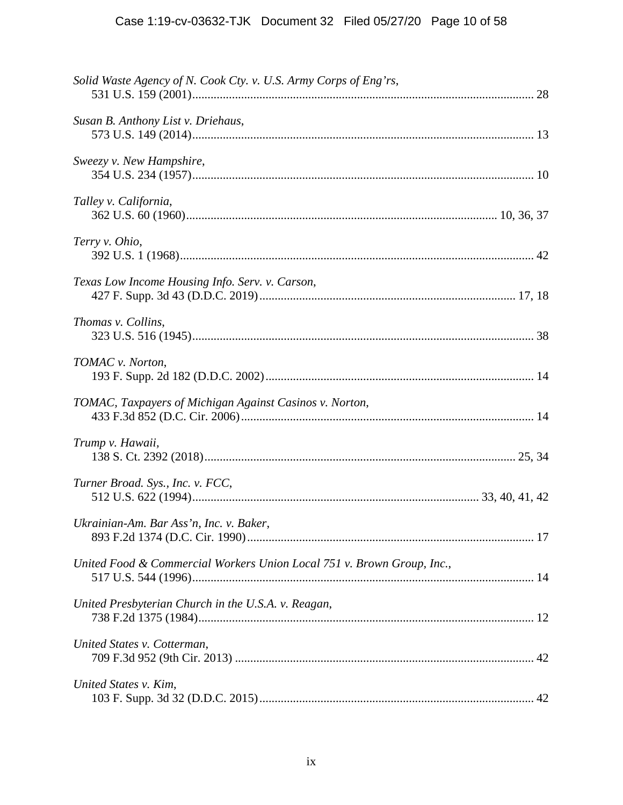| Solid Waste Agency of N. Cook Cty. v. U.S. Army Corps of Eng'rs,       |  |
|------------------------------------------------------------------------|--|
| Susan B. Anthony List v. Driehaus,                                     |  |
| Sweezy v. New Hampshire,                                               |  |
| Talley v. California,                                                  |  |
| Terry v. Ohio,                                                         |  |
| Texas Low Income Housing Info. Serv. v. Carson,                        |  |
| Thomas v. Collins,                                                     |  |
| TOMAC v. Norton,                                                       |  |
| TOMAC, Taxpayers of Michigan Against Casinos v. Norton,                |  |
| Trump v. Hawaii,                                                       |  |
| Turner Broad. Sys., Inc. v. FCC,                                       |  |
| Ukrainian-Am. Bar Ass'n, Inc. v. Baker,                                |  |
| United Food & Commercial Workers Union Local 751 v. Brown Group, Inc., |  |
| United Presbyterian Church in the U.S.A. v. Reagan,                    |  |
| United States v. Cotterman,                                            |  |
| United States v. Kim,                                                  |  |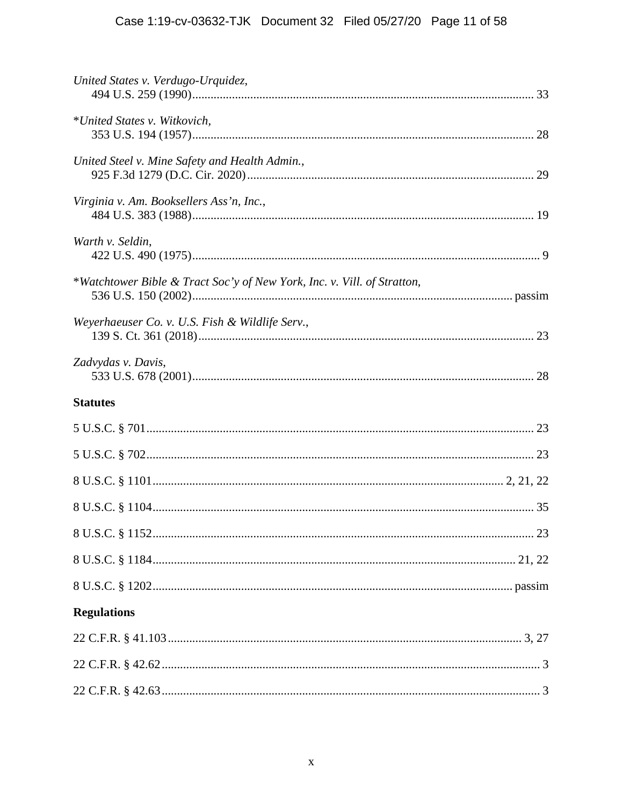# Case 1:19-cv-03632-TJK Document 32 Filed 05/27/20 Page 11 of 58

| United States v. Verdugo-Urquidez,                                      |  |
|-------------------------------------------------------------------------|--|
| *United States v. Witkovich,                                            |  |
| United Steel v. Mine Safety and Health Admin.,                          |  |
| Virginia v. Am. Booksellers Ass'n, Inc.,                                |  |
| Warth v. Seldin,                                                        |  |
| *Watchtower Bible & Tract Soc'y of New York, Inc. v. Vill. of Stratton, |  |
| Weverhaeuser Co. v. U.S. Fish & Wildlife Serv.,                         |  |
| Zadvydas v. Davis,                                                      |  |
| <b>Statutes</b>                                                         |  |
|                                                                         |  |
|                                                                         |  |
|                                                                         |  |
|                                                                         |  |
|                                                                         |  |
|                                                                         |  |
|                                                                         |  |
| <b>Regulations</b>                                                      |  |
|                                                                         |  |
|                                                                         |  |
|                                                                         |  |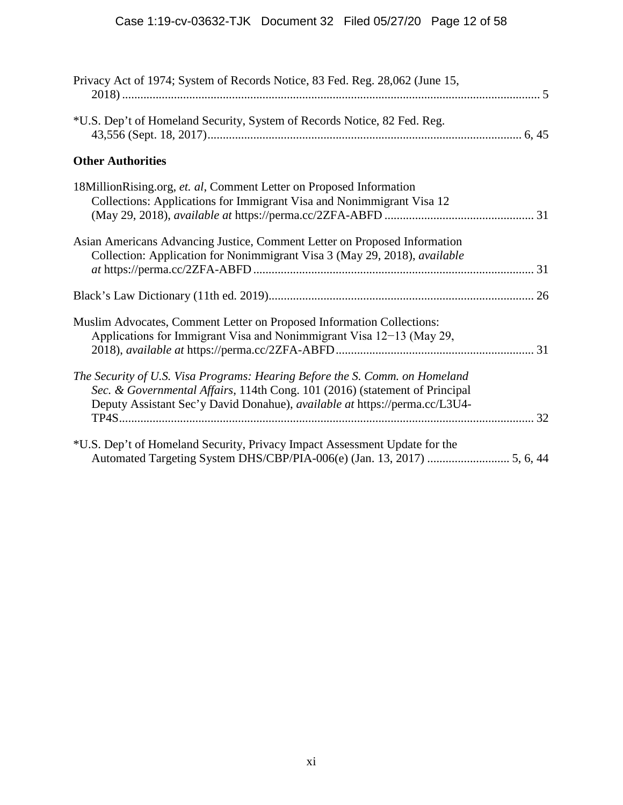| Privacy Act of 1974; System of Records Notice, 83 Fed. Reg. 28,062 (June 15,                                                                                                                                                             |
|------------------------------------------------------------------------------------------------------------------------------------------------------------------------------------------------------------------------------------------|
| *U.S. Dep't of Homeland Security, System of Records Notice, 82 Fed. Reg.                                                                                                                                                                 |
| <b>Other Authorities</b>                                                                                                                                                                                                                 |
| 18MillionRising.org, et. al, Comment Letter on Proposed Information<br>Collections: Applications for Immigrant Visa and Nonimmigrant Visa 12                                                                                             |
| Asian Americans Advancing Justice, Comment Letter on Proposed Information<br>Collection: Application for Nonimmigrant Visa 3 (May 29, 2018), available                                                                                   |
|                                                                                                                                                                                                                                          |
| Muslim Advocates, Comment Letter on Proposed Information Collections:<br>Applications for Immigrant Visa and Nonimmigrant Visa 12-13 (May 29,                                                                                            |
| The Security of U.S. Visa Programs: Hearing Before the S. Comm. on Homeland<br>Sec. & Governmental Affairs, 114th Cong. 101 (2016) (statement of Principal<br>Deputy Assistant Sec'y David Donahue), available at https://perma.cc/L3U4- |
| *U.S. Dep't of Homeland Security, Privacy Impact Assessment Update for the                                                                                                                                                               |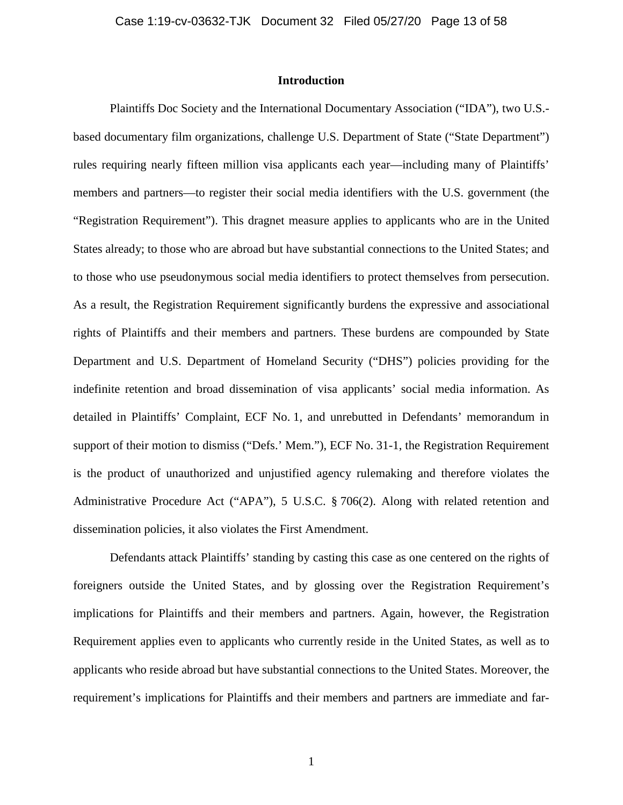# **Introduction**

Plaintiffs Doc Society and the International Documentary Association ("IDA"), two U.S. based documentary film organizations, challenge U.S. Department of State ("State Department") rules requiring nearly fifteen million visa applicants each year—including many of Plaintiffs' members and partners—to register their social media identifiers with the U.S. government (the "Registration Requirement"). This dragnet measure applies to applicants who are in the United States already; to those who are abroad but have substantial connections to the United States; and to those who use pseudonymous social media identifiers to protect themselves from persecution. As a result, the Registration Requirement significantly burdens the expressive and associational rights of Plaintiffs and their members and partners. These burdens are compounded by State Department and U.S. Department of Homeland Security ("DHS") policies providing for the indefinite retention and broad dissemination of visa applicants' social media information. As detailed in Plaintiffs' Complaint, ECF No. 1, and unrebutted in Defendants' memorandum in support of their motion to dismiss ("Defs.' Mem."), ECF No. 31-1, the Registration Requirement is the product of unauthorized and unjustified agency rulemaking and therefore violates the Administrative Procedure Act ("APA"), 5 U.S.C. § 706(2). Along with related retention and dissemination policies, it also violates the First Amendment.

Defendants attack Plaintiffs' standing by casting this case as one centered on the rights of foreigners outside the United States, and by glossing over the Registration Requirement's implications for Plaintiffs and their members and partners. Again, however, the Registration Requirement applies even to applicants who currently reside in the United States, as well as to applicants who reside abroad but have substantial connections to the United States. Moreover, the requirement's implications for Plaintiffs and their members and partners are immediate and far-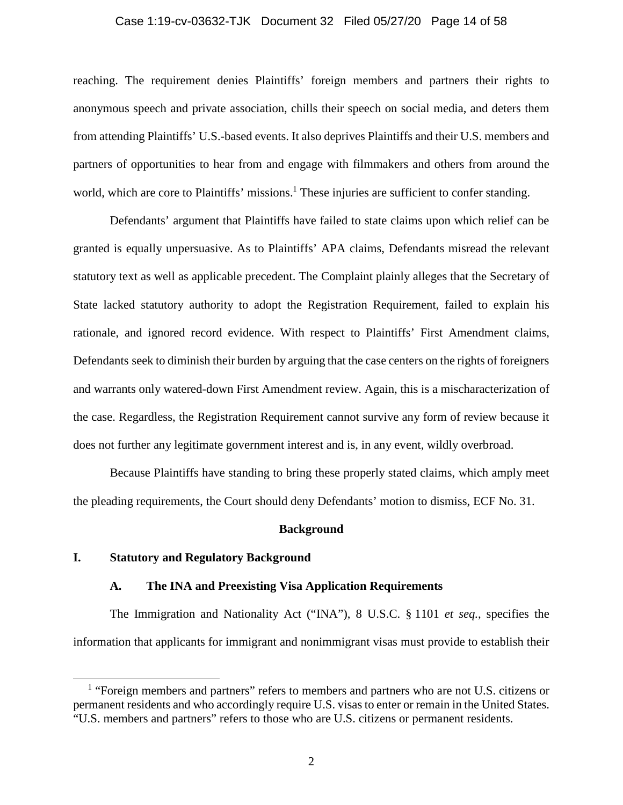#### Case 1:19-cv-03632-TJK Document 32 Filed 05/27/20 Page 14 of 58

reaching. The requirement denies Plaintiffs' foreign members and partners their rights to anonymous speech and private association, chills their speech on social media, and deters them from attending Plaintiffs' U.S.-based events. It also deprives Plaintiffs and their U.S. members and partners of opportunities to hear from and engage with filmmakers and others from around the world, which are core to Plaintiffs' missions.<sup>1</sup> These injuries are sufficient to confer standing.

Defendants' argument that Plaintiffs have failed to state claims upon which relief can be granted is equally unpersuasive. As to Plaintiffs' APA claims, Defendants misread the relevant statutory text as well as applicable precedent. The Complaint plainly alleges that the Secretary of State lacked statutory authority to adopt the Registration Requirement, failed to explain his rationale, and ignored record evidence. With respect to Plaintiffs' First Amendment claims, Defendants seek to diminish their burden by arguing that the case centers on the rights of foreigners and warrants only watered-down First Amendment review. Again, this is a mischaracterization of the case. Regardless, the Registration Requirement cannot survive any form of review because it does not further any legitimate government interest and is, in any event, wildly overbroad.

Because Plaintiffs have standing to bring these properly stated claims, which amply meet the pleading requirements, the Court should deny Defendants' motion to dismiss, ECF No. 31.

#### **Background**

# **I. Statutory and Regulatory Background**

#### **A. The INA and Preexisting Visa Application Requirements**

The Immigration and Nationality Act ("INA"), 8 U.S.C. § 1101 *et seq.*, specifies the information that applicants for immigrant and nonimmigrant visas must provide to establish their

<sup>&</sup>lt;sup>1</sup> "Foreign members and partners" refers to members and partners who are not U.S. citizens or permanent residents and who accordingly require U.S. visas to enter or remain in the United States. "U.S. members and partners" refers to those who are U.S. citizens or permanent residents.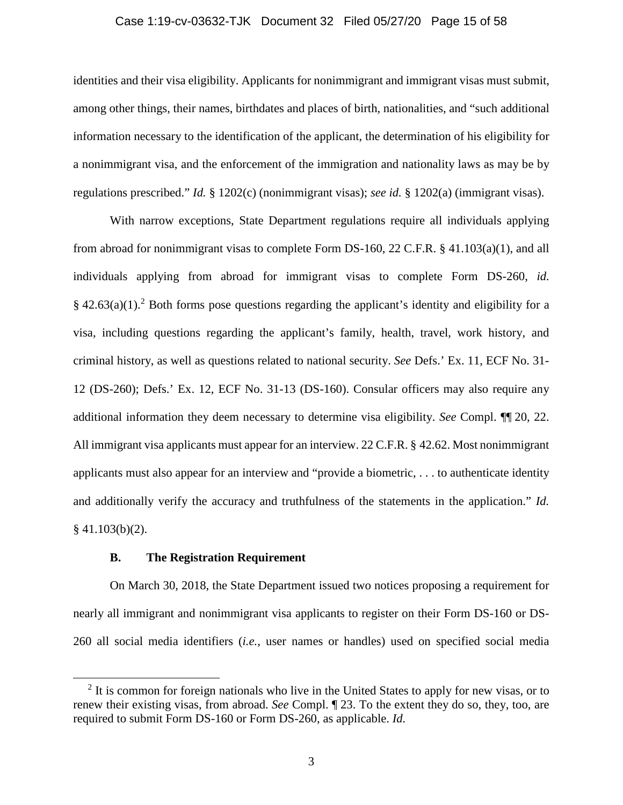#### Case 1:19-cv-03632-TJK Document 32 Filed 05/27/20 Page 15 of 58

identities and their visa eligibility. Applicants for nonimmigrant and immigrant visas must submit, among other things, their names, birthdates and places of birth, nationalities, and "such additional information necessary to the identification of the applicant, the determination of his eligibility for a nonimmigrant visa, and the enforcement of the immigration and nationality laws as may be by regulations prescribed." *Id.* § 1202(c) (nonimmigrant visas); *see id.* § 1202(a) (immigrant visas).

With narrow exceptions, State Department regulations require all individuals applying from abroad for nonimmigrant visas to complete Form DS-160, 22 C.F.R. § 41.103(a)(1), and all individuals applying from abroad for immigrant visas to complete Form DS-260, *id.*  $§$  42.63(a)(1).<sup>2</sup> Both forms pose questions regarding the applicant's identity and eligibility for a visa, including questions regarding the applicant's family, health, travel, work history, and criminal history, as well as questions related to national security. *See* Defs.' Ex. 11, ECF No. 31- 12 (DS-260); Defs.' Ex. 12, ECF No. 31-13 (DS-160). Consular officers may also require any additional information they deem necessary to determine visa eligibility. *See* Compl. ¶¶ 20, 22. All immigrant visa applicants must appear for an interview. 22 C.F.R. § 42.62. Most nonimmigrant applicants must also appear for an interview and "provide a biometric, . . . to authenticate identity and additionally verify the accuracy and truthfulness of the statements in the application." *Id.*  $§$  41.103(b)(2).

## **B. The Registration Requirement**

On March 30, 2018, the State Department issued two notices proposing a requirement for nearly all immigrant and nonimmigrant visa applicants to register on their Form DS-160 or DS-260 all social media identifiers (*i.e.*, user names or handles) used on specified social media

<sup>&</sup>lt;sup>2</sup> It is common for foreign nationals who live in the United States to apply for new visas, or to renew their existing visas, from abroad. *See* Compl. ¶ 23. To the extent they do so, they, too, are required to submit Form DS-160 or Form DS-260, as applicable. *Id.*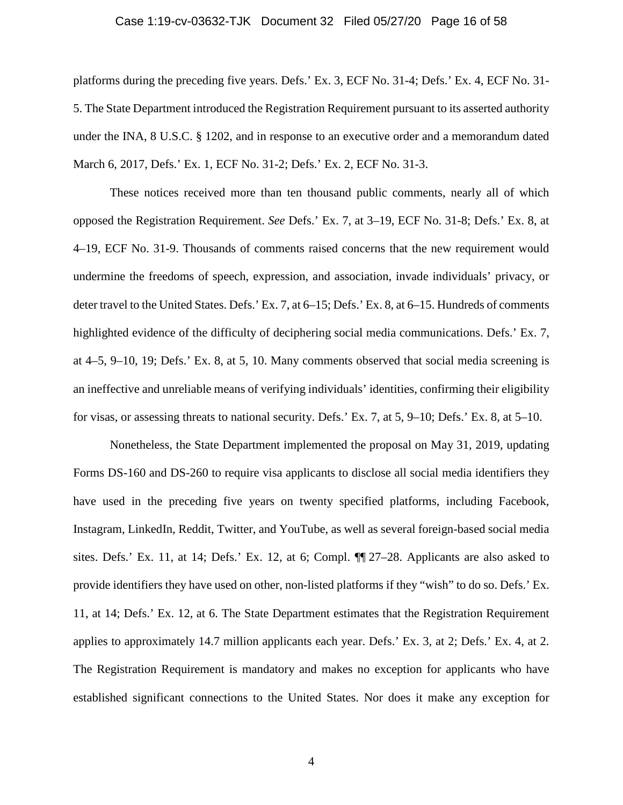#### Case 1:19-cv-03632-TJK Document 32 Filed 05/27/20 Page 16 of 58

platforms during the preceding five years. Defs.' Ex. 3, ECF No. 31-4; Defs.' Ex. 4, ECF No. 31- 5. The State Department introduced the Registration Requirement pursuant to its asserted authority under the INA, 8 U.S.C. § 1202, and in response to an executive order and a memorandum dated March 6, 2017, Defs.' Ex. 1, ECF No. 31-2; Defs.' Ex. 2, ECF No. 31-3.

These notices received more than ten thousand public comments, nearly all of which opposed the Registration Requirement. *See* Defs.' Ex. 7, at 3–19, ECF No. 31-8; Defs.' Ex. 8, at 4–19, ECF No. 31-9. Thousands of comments raised concerns that the new requirement would undermine the freedoms of speech, expression, and association, invade individuals' privacy, or deter travel to the United States. Defs.' Ex. 7, at 6–15; Defs.' Ex. 8, at 6–15. Hundreds of comments highlighted evidence of the difficulty of deciphering social media communications. Defs.' Ex. 7, at 4–5, 9–10, 19; Defs.' Ex. 8, at 5, 10. Many comments observed that social media screening is an ineffective and unreliable means of verifying individuals' identities, confirming their eligibility for visas, or assessing threats to national security. Defs.' Ex. 7, at 5, 9–10; Defs.' Ex. 8, at 5–10.

Nonetheless, the State Department implemented the proposal on May 31, 2019, updating Forms DS-160 and DS-260 to require visa applicants to disclose all social media identifiers they have used in the preceding five years on twenty specified platforms, including Facebook, Instagram, LinkedIn, Reddit, Twitter, and YouTube, as well as several foreign-based social media sites. Defs.' Ex. 11, at 14; Defs.' Ex. 12, at 6; Compl. ¶¶ 27–28. Applicants are also asked to provide identifiers they have used on other, non-listed platforms if they "wish" to do so. Defs.' Ex. 11, at 14; Defs.' Ex. 12, at 6. The State Department estimates that the Registration Requirement applies to approximately 14.7 million applicants each year. Defs.' Ex. 3, at 2; Defs.' Ex. 4, at 2. The Registration Requirement is mandatory and makes no exception for applicants who have established significant connections to the United States. Nor does it make any exception for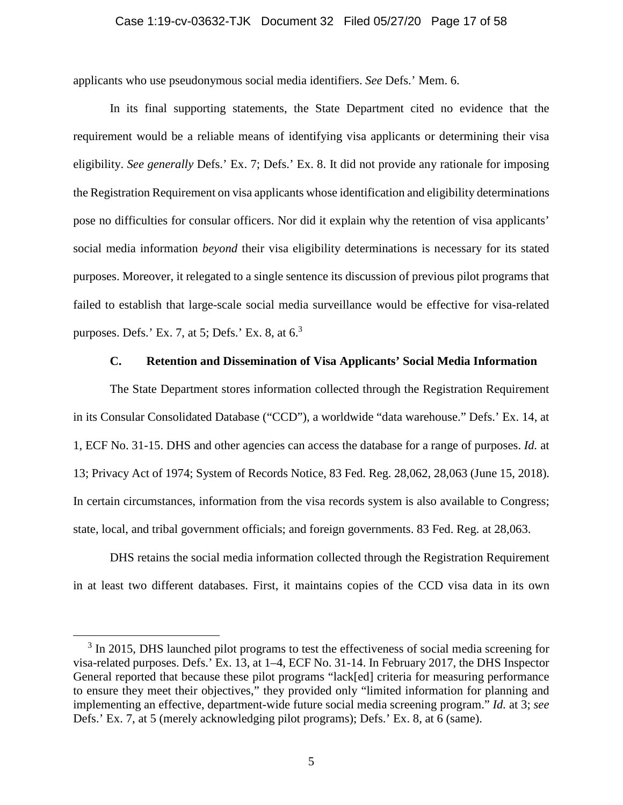#### Case 1:19-cv-03632-TJK Document 32 Filed 05/27/20 Page 17 of 58

applicants who use pseudonymous social media identifiers. *See* Defs.' Mem. 6.

In its final supporting statements, the State Department cited no evidence that the requirement would be a reliable means of identifying visa applicants or determining their visa eligibility. *See generally* Defs.' Ex. 7; Defs.' Ex. 8. It did not provide any rationale for imposing the Registration Requirement on visa applicants whose identification and eligibility determinations pose no difficulties for consular officers. Nor did it explain why the retention of visa applicants' social media information *beyond* their visa eligibility determinations is necessary for its stated purposes. Moreover, it relegated to a single sentence its discussion of previous pilot programs that failed to establish that large-scale social media surveillance would be effective for visa-related purposes. Defs.' Ex. 7, at 5; Defs.' Ex. 8, at  $6<sup>3</sup>$ 

#### **C. Retention and Dissemination of Visa Applicants' Social Media Information**

The State Department stores information collected through the Registration Requirement in its Consular Consolidated Database ("CCD"), a worldwide "data warehouse." Defs.' Ex. 14, at 1, ECF No. 31-15. DHS and other agencies can access the database for a range of purposes. *Id.* at 13; Privacy Act of 1974; System of Records Notice, 83 Fed. Reg. 28,062, 28,063 (June 15, 2018). In certain circumstances, information from the visa records system is also available to Congress; state, local, and tribal government officials; and foreign governments. 83 Fed. Reg. at 28,063.

DHS retains the social media information collected through the Registration Requirement in at least two different databases. First, it maintains copies of the CCD visa data in its own

<sup>&</sup>lt;sup>3</sup> In 2015, DHS launched pilot programs to test the effectiveness of social media screening for visa-related purposes. Defs.' Ex. 13, at 1–4, ECF No. 31-14. In February 2017, the DHS Inspector General reported that because these pilot programs "lack[ed] criteria for measuring performance to ensure they meet their objectives," they provided only "limited information for planning and implementing an effective, department-wide future social media screening program." *Id.* at 3; *see* Defs.' Ex. 7, at 5 (merely acknowledging pilot programs); Defs.' Ex. 8, at 6 (same).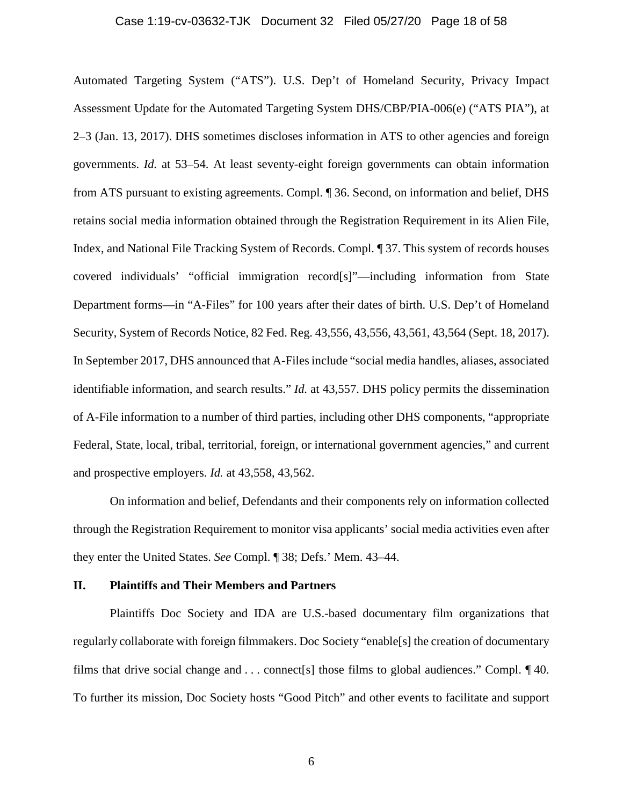#### Case 1:19-cv-03632-TJK Document 32 Filed 05/27/20 Page 18 of 58

Automated Targeting System ("ATS"). U.S. Dep't of Homeland Security, Privacy Impact Assessment Update for the Automated Targeting System DHS/CBP/PIA-006(e) ("ATS PIA"), at 2–3 (Jan. 13, 2017). DHS sometimes discloses information in ATS to other agencies and foreign governments. *Id.* at 53–54. At least seventy-eight foreign governments can obtain information from ATS pursuant to existing agreements. Compl. ¶ 36. Second, on information and belief, DHS retains social media information obtained through the Registration Requirement in its Alien File, Index, and National File Tracking System of Records. Compl. ¶ 37. This system of records houses covered individuals' "official immigration record[s]"—including information from State Department forms—in "A-Files" for 100 years after their dates of birth. U.S. Dep't of Homeland Security, System of Records Notice, 82 Fed. Reg. 43,556, 43,556, 43,561, 43,564 (Sept. 18, 2017). In September 2017, DHS announced that A-Files include "social media handles, aliases, associated identifiable information, and search results." *Id.* at 43,557. DHS policy permits the dissemination of A-File information to a number of third parties, including other DHS components, "appropriate Federal, State, local, tribal, territorial, foreign, or international government agencies," and current and prospective employers. *Id.* at 43,558, 43,562.

On information and belief, Defendants and their components rely on information collected through the Registration Requirement to monitor visa applicants' social media activities even after they enter the United States. *See* Compl. ¶ 38; Defs.' Mem. 43–44.

#### **II. Plaintiffs and Their Members and Partners**

Plaintiffs Doc Society and IDA are U.S.-based documentary film organizations that regularly collaborate with foreign filmmakers. Doc Society "enable[s] the creation of documentary films that drive social change and . . . connect[s] those films to global audiences." Compl. ¶ 40. To further its mission, Doc Society hosts "Good Pitch" and other events to facilitate and support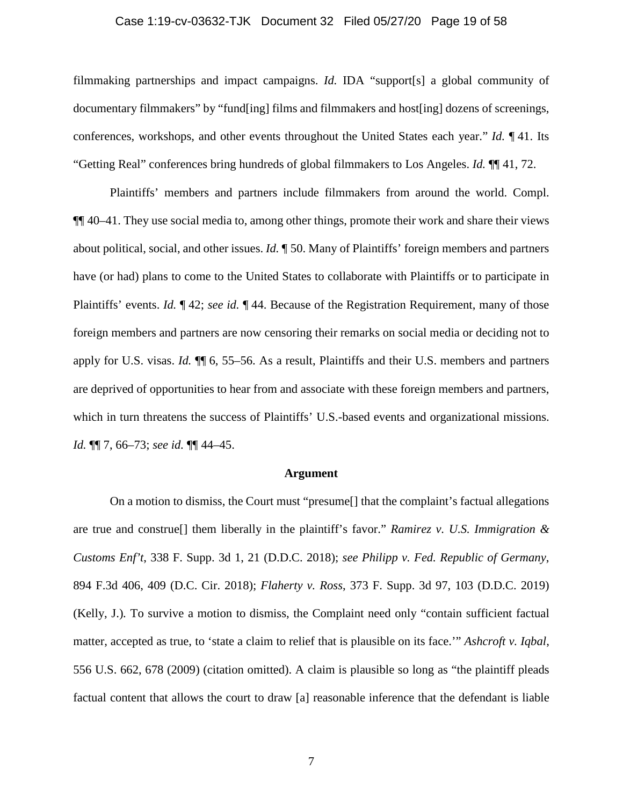#### Case 1:19-cv-03632-TJK Document 32 Filed 05/27/20 Page 19 of 58

filmmaking partnerships and impact campaigns. *Id.* IDA "support[s] a global community of documentary filmmakers" by "fund[ing] films and filmmakers and host[ing] dozens of screenings, conferences, workshops, and other events throughout the United States each year." *Id.* ¶ 41. Its "Getting Real" conferences bring hundreds of global filmmakers to Los Angeles. *Id.* ¶¶ 41, 72.

Plaintiffs' members and partners include filmmakers from around the world. Compl. ¶¶ 40–41. They use social media to, among other things, promote their work and share their views about political, social, and other issues. *Id.* ¶ 50. Many of Plaintiffs' foreign members and partners have (or had) plans to come to the United States to collaborate with Plaintiffs or to participate in Plaintiffs' events. *Id.* ¶ 42; *see id.* ¶ 44. Because of the Registration Requirement, many of those foreign members and partners are now censoring their remarks on social media or deciding not to apply for U.S. visas. *Id.* ¶¶ 6, 55–56. As a result, Plaintiffs and their U.S. members and partners are deprived of opportunities to hear from and associate with these foreign members and partners, which in turn threatens the success of Plaintiffs' U.S.-based events and organizational missions. *Id.* ¶¶ 7, 66–73; *see id.* ¶¶ 44–45.

## **Argument**

On a motion to dismiss, the Court must "presume[] that the complaint's factual allegations are true and construe[] them liberally in the plaintiff's favor." *Ramirez v. U.S. Immigration & Customs Enf't*, 338 F. Supp. 3d 1, 21 (D.D.C. 2018); *see Philipp v. Fed. Republic of Germany*, 894 F.3d 406, 409 (D.C. Cir. 2018); *Flaherty v. Ross*, 373 F. Supp. 3d 97, 103 (D.D.C. 2019) (Kelly, J.)*.* To survive a motion to dismiss, the Complaint need only "contain sufficient factual matter, accepted as true, to 'state a claim to relief that is plausible on its face.'" *Ashcroft v. Iqbal*, 556 U.S. 662, 678 (2009) (citation omitted). A claim is plausible so long as "the plaintiff pleads factual content that allows the court to draw [a] reasonable inference that the defendant is liable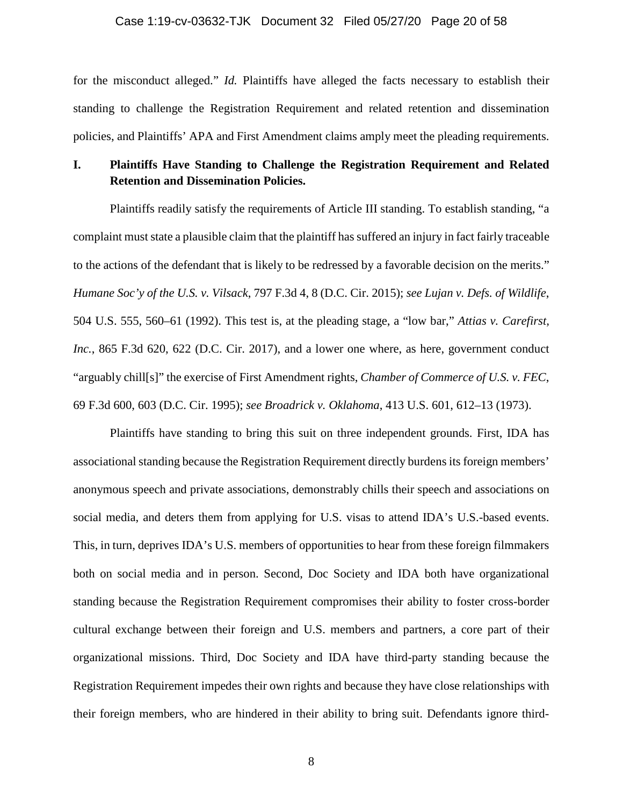#### Case 1:19-cv-03632-TJK Document 32 Filed 05/27/20 Page 20 of 58

for the misconduct alleged." *Id.* Plaintiffs have alleged the facts necessary to establish their standing to challenge the Registration Requirement and related retention and dissemination policies, and Plaintiffs' APA and First Amendment claims amply meet the pleading requirements.

# **I. Plaintiffs Have Standing to Challenge the Registration Requirement and Related Retention and Dissemination Policies.**

Plaintiffs readily satisfy the requirements of Article III standing. To establish standing, "a complaint must state a plausible claim that the plaintiff has suffered an injury in fact fairly traceable to the actions of the defendant that is likely to be redressed by a favorable decision on the merits." *Humane Soc'y of the U.S. v. Vilsack*, 797 F.3d 4, 8 (D.C. Cir. 2015); *see Lujan v. Defs. of Wildlife*, 504 U.S. 555, 560–61 (1992). This test is, at the pleading stage, a "low bar," *Attias v. Carefirst, Inc.*, 865 F.3d 620, 622 (D.C. Cir. 2017), and a lower one where, as here, government conduct "arguably chill[s]" the exercise of First Amendment rights, *Chamber of Commerce of U.S. v. FEC*, 69 F.3d 600, 603 (D.C. Cir. 1995); *see Broadrick v. Oklahoma*, 413 U.S. 601, 612–13 (1973).

Plaintiffs have standing to bring this suit on three independent grounds. First, IDA has associational standing because the Registration Requirement directly burdens its foreign members' anonymous speech and private associations, demonstrably chills their speech and associations on social media, and deters them from applying for U.S. visas to attend IDA's U.S.-based events. This, in turn, deprives IDA's U.S. members of opportunities to hear from these foreign filmmakers both on social media and in person. Second, Doc Society and IDA both have organizational standing because the Registration Requirement compromises their ability to foster cross-border cultural exchange between their foreign and U.S. members and partners, a core part of their organizational missions. Third, Doc Society and IDA have third-party standing because the Registration Requirement impedes their own rights and because they have close relationships with their foreign members, who are hindered in their ability to bring suit. Defendants ignore third-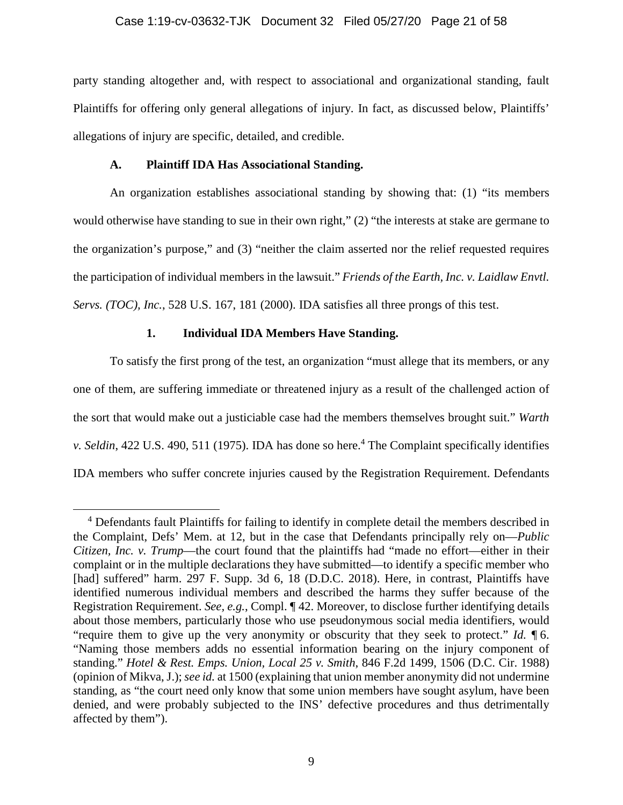## Case 1:19-cv-03632-TJK Document 32 Filed 05/27/20 Page 21 of 58

party standing altogether and, with respect to associational and organizational standing, fault Plaintiffs for offering only general allegations of injury. In fact, as discussed below, Plaintiffs' allegations of injury are specific, detailed, and credible.

## **A. Plaintiff IDA Has Associational Standing.**

An organization establishes associational standing by showing that: (1) "its members would otherwise have standing to sue in their own right," (2) "the interests at stake are germane to the organization's purpose," and (3) "neither the claim asserted nor the relief requested requires the participation of individual members in the lawsuit." *Friends of the Earth, Inc. v. Laidlaw Envtl. Servs. (TOC), Inc.*, 528 U.S. 167, 181 (2000). IDA satisfies all three prongs of this test.

# **1. Individual IDA Members Have Standing.**

To satisfy the first prong of the test, an organization "must allege that its members, or any one of them, are suffering immediate or threatened injury as a result of the challenged action of the sort that would make out a justiciable case had the members themselves brought suit." *Warth*  v. Seldin, 422 U.S. 490, 511 (1975). IDA has done so here.<sup>4</sup> The Complaint specifically identifies IDA members who suffer concrete injuries caused by the Registration Requirement. Defendants

<sup>&</sup>lt;sup>4</sup> Defendants fault Plaintiffs for failing to identify in complete detail the members described in the Complaint, Defs' Mem. at 12, but in the case that Defendants principally rely on—*Public Citizen, Inc. v. Trump*—the court found that the plaintiffs had "made no effort—either in their complaint or in the multiple declarations they have submitted—to identify a specific member who [had] suffered" harm. 297 F. Supp. 3d 6, 18 (D.D.C. 2018). Here, in contrast, Plaintiffs have identified numerous individual members and described the harms they suffer because of the Registration Requirement. *See, e.g.*, Compl. ¶ 42. Moreover, to disclose further identifying details about those members, particularly those who use pseudonymous social media identifiers, would "require them to give up the very anonymity or obscurity that they seek to protect." *Id.* ¶ 6. "Naming those members adds no essential information bearing on the injury component of standing." *Hotel & Rest. Emps. Union, Local 25 v. Smith*, 846 F.2d 1499, 1506 (D.C. Cir. 1988) (opinion of Mikva, J.); *see id.* at 1500 (explaining that union member anonymity did not undermine standing, as "the court need only know that some union members have sought asylum, have been denied, and were probably subjected to the INS' defective procedures and thus detrimentally affected by them").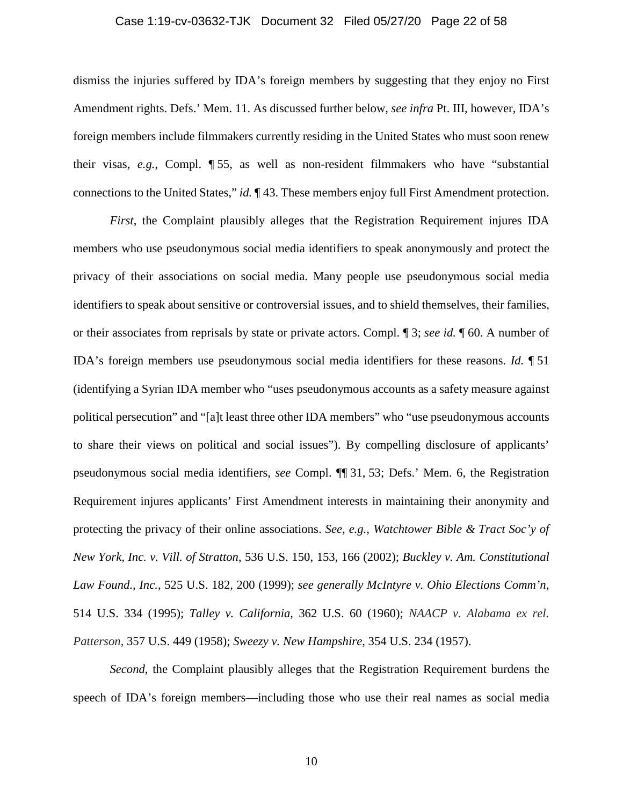#### Case 1:19-cv-03632-TJK Document 32 Filed 05/27/20 Page 22 of 58

dismiss the injuries suffered by IDA's foreign members by suggesting that they enjoy no First Amendment rights. Defs.' Mem. 11. As discussed further below, *see infra* Pt. III, however, IDA's foreign members include filmmakers currently residing in the United States who must soon renew their visas, *e.g.*, Compl. ¶ 55, as well as non-resident filmmakers who have "substantial connections to the United States," *id.* ¶ 43. These members enjoy full First Amendment protection.

*First*, the Complaint plausibly alleges that the Registration Requirement injures IDA members who use pseudonymous social media identifiers to speak anonymously and protect the privacy of their associations on social media. Many people use pseudonymous social media identifiers to speak about sensitive or controversial issues, and to shield themselves, their families, or their associates from reprisals by state or private actors. Compl. ¶ 3; *see id.* ¶ 60. A number of IDA's foreign members use pseudonymous social media identifiers for these reasons. *Id.* ¶ 51 (identifying a Syrian IDA member who "uses pseudonymous accounts as a safety measure against political persecution" and "[a]t least three other IDA members" who "use pseudonymous accounts to share their views on political and social issues"). By compelling disclosure of applicants' pseudonymous social media identifiers, *see* Compl. ¶¶ 31, 53; Defs.' Mem. 6, the Registration Requirement injures applicants' First Amendment interests in maintaining their anonymity and protecting the privacy of their online associations. *See, e.g.*, *Watchtower Bible & Tract Soc'y of New York, Inc. v. Vill. of Stratton*, 536 U.S. 150, 153, 166 (2002); *Buckley v. Am. Constitutional Law Found., Inc.*, 525 U.S. 182, 200 (1999); *see generally McIntyre v. Ohio Elections Comm'n*, 514 U.S. 334 (1995); *Talley v. California*, 362 U.S. 60 (1960); *NAACP v. Alabama ex rel. Patterson*, 357 U.S. 449 (1958); *Sweezy v. New Hampshire*, 354 U.S. 234 (1957).

*Second*, the Complaint plausibly alleges that the Registration Requirement burdens the speech of IDA's foreign members—including those who use their real names as social media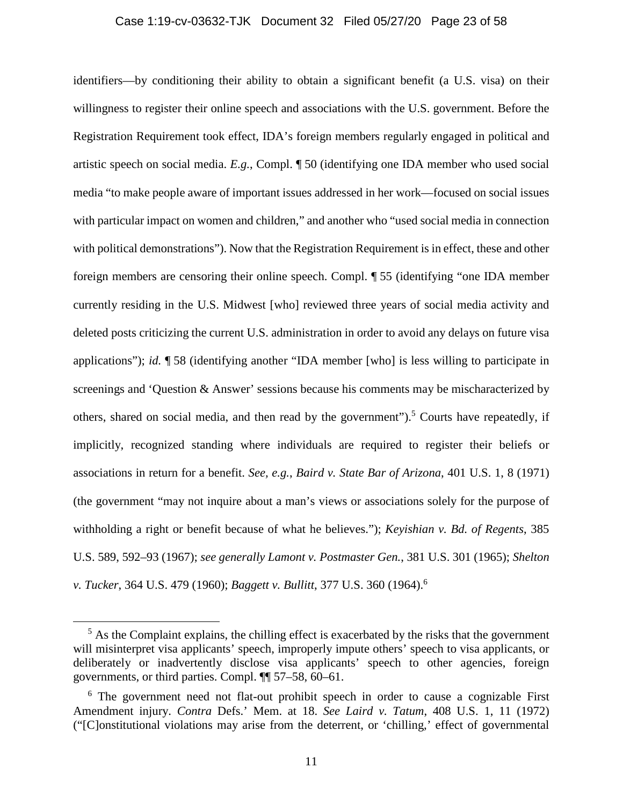#### Case 1:19-cv-03632-TJK Document 32 Filed 05/27/20 Page 23 of 58

identifiers—by conditioning their ability to obtain a significant benefit (a U.S. visa) on their willingness to register their online speech and associations with the U.S. government. Before the Registration Requirement took effect, IDA's foreign members regularly engaged in political and artistic speech on social media. *E.g.*, Compl. ¶ 50 (identifying one IDA member who used social media "to make people aware of important issues addressed in her work—focused on social issues with particular impact on women and children," and another who "used social media in connection with political demonstrations"). Now that the Registration Requirement is in effect, these and other foreign members are censoring their online speech. Compl. ¶ 55 (identifying "one IDA member currently residing in the U.S. Midwest [who] reviewed three years of social media activity and deleted posts criticizing the current U.S. administration in order to avoid any delays on future visa applications"); *id.* ¶ 58 (identifying another "IDA member [who] is less willing to participate in screenings and 'Question & Answer' sessions because his comments may be mischaracterized by others, shared on social media, and then read by the government").<sup>5</sup> Courts have repeatedly, if implicitly, recognized standing where individuals are required to register their beliefs or associations in return for a benefit. *See, e.g.*, *Baird v. State Bar of Arizona*, 401 U.S. 1, 8 (1971) (the government "may not inquire about a man's views or associations solely for the purpose of withholding a right or benefit because of what he believes."); *Keyishian v. Bd. of Regents*, 385 U.S. 589, 592–93 (1967); *see generally Lamont v. Postmaster Gen.*, 381 U.S. 301 (1965); *Shelton v. Tucker*, 364 U.S. 479 (1960); *Baggett v. Bullitt*, 377 U.S. 360 (1964).<sup>6</sup>

 $<sup>5</sup>$  As the Complaint explains, the chilling effect is exacerbated by the risks that the government</sup> will misinterpret visa applicants' speech, improperly impute others' speech to visa applicants, or deliberately or inadvertently disclose visa applicants' speech to other agencies, foreign governments, or third parties. Compl. ¶¶ 57–58, 60–61.

<sup>&</sup>lt;sup>6</sup> The government need not flat-out prohibit speech in order to cause a cognizable First Amendment injury. *Contra* Defs.' Mem. at 18. *See Laird v. Tatum*, 408 U.S. 1, 11 (1972) ("[C]onstitutional violations may arise from the deterrent, or 'chilling,' effect of governmental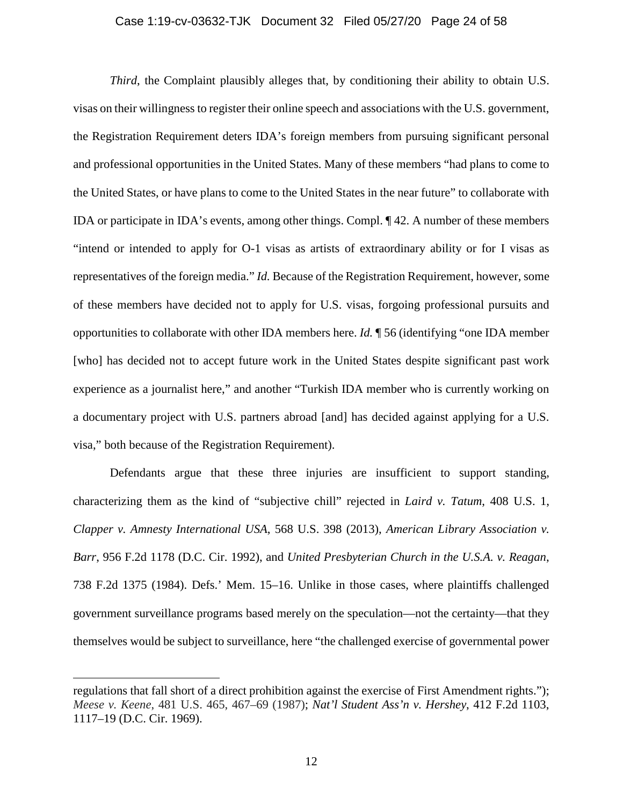#### Case 1:19-cv-03632-TJK Document 32 Filed 05/27/20 Page 24 of 58

*Third*, the Complaint plausibly alleges that, by conditioning their ability to obtain U.S. visas on their willingness to register their online speech and associations with the U.S. government, the Registration Requirement deters IDA's foreign members from pursuing significant personal and professional opportunities in the United States. Many of these members "had plans to come to the United States, or have plans to come to the United States in the near future" to collaborate with IDA or participate in IDA's events, among other things. Compl. ¶ 42. A number of these members "intend or intended to apply for O-1 visas as artists of extraordinary ability or for I visas as representatives of the foreign media." *Id.* Because of the Registration Requirement, however, some of these members have decided not to apply for U.S. visas, forgoing professional pursuits and opportunities to collaborate with other IDA members here. *Id.* ¶ 56 (identifying "one IDA member [who] has decided not to accept future work in the United States despite significant past work experience as a journalist here," and another "Turkish IDA member who is currently working on a documentary project with U.S. partners abroad [and] has decided against applying for a U.S. visa," both because of the Registration Requirement).

Defendants argue that these three injuries are insufficient to support standing, characterizing them as the kind of "subjective chill" rejected in *Laird v. Tatum*, 408 U.S. 1, *Clapper v. Amnesty International USA*, 568 U.S. 398 (2013), *American Library Association v. Barr*, 956 F.2d 1178 (D.C. Cir. 1992), and *United Presbyterian Church in the U.S.A. v. Reagan*, 738 F.2d 1375 (1984). Defs.' Mem. 15–16. Unlike in those cases, where plaintiffs challenged government surveillance programs based merely on the speculation—not the certainty—that they themselves would be subject to surveillance, here "the challenged exercise of governmental power

regulations that fall short of a direct prohibition against the exercise of First Amendment rights."); *Meese v. Keene*, 481 U.S. 465, 467–69 (1987); *Nat'l Student Ass'n v. Hershey*, 412 F.2d 1103, 1117–19 (D.C. Cir. 1969).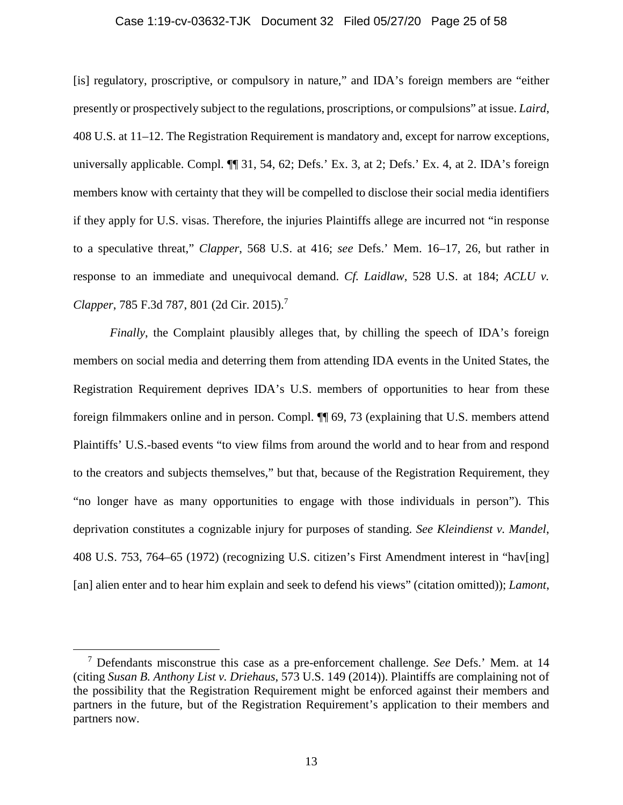#### Case 1:19-cv-03632-TJK Document 32 Filed 05/27/20 Page 25 of 58

[is] regulatory, proscriptive, or compulsory in nature," and IDA's foreign members are "either presently or prospectively subject to the regulations, proscriptions, or compulsions" at issue. *Laird*, 408 U.S. at 11–12. The Registration Requirement is mandatory and, except for narrow exceptions, universally applicable. Compl.  $\P$  31, 54, 62; Defs.' Ex. 3, at 2; Defs.' Ex. 4, at 2. IDA's foreign members know with certainty that they will be compelled to disclose their social media identifiers if they apply for U.S. visas. Therefore, the injuries Plaintiffs allege are incurred not "in response to a speculative threat," *Clapper*, 568 U.S. at 416; *see* Defs.' Mem. 16–17, 26, but rather in response to an immediate and unequivocal demand. *Cf. Laidlaw*, 528 U.S. at 184; *ACLU v. Clapper*, 785 F.3d 787, 801 (2d Cir. 2015).<sup>7</sup>

*Finally*, the Complaint plausibly alleges that, by chilling the speech of IDA's foreign members on social media and deterring them from attending IDA events in the United States, the Registration Requirement deprives IDA's U.S. members of opportunities to hear from these foreign filmmakers online and in person. Compl. ¶¶ 69, 73 (explaining that U.S. members attend Plaintiffs' U.S.-based events "to view films from around the world and to hear from and respond to the creators and subjects themselves," but that, because of the Registration Requirement, they "no longer have as many opportunities to engage with those individuals in person"). This deprivation constitutes a cognizable injury for purposes of standing. *See Kleindienst v. Mandel*, 408 U.S. 753, 764–65 (1972) (recognizing U.S. citizen's First Amendment interest in "hav[ing] [an] alien enter and to hear him explain and seek to defend his views" (citation omitted)); *Lamont*,

<sup>7</sup> Defendants misconstrue this case as a pre-enforcement challenge. *See* Defs.' Mem. at 14 (citing *Susan B. Anthony List v. Driehaus*, 573 U.S. 149 (2014)). Plaintiffs are complaining not of the possibility that the Registration Requirement might be enforced against their members and partners in the future, but of the Registration Requirement's application to their members and partners now.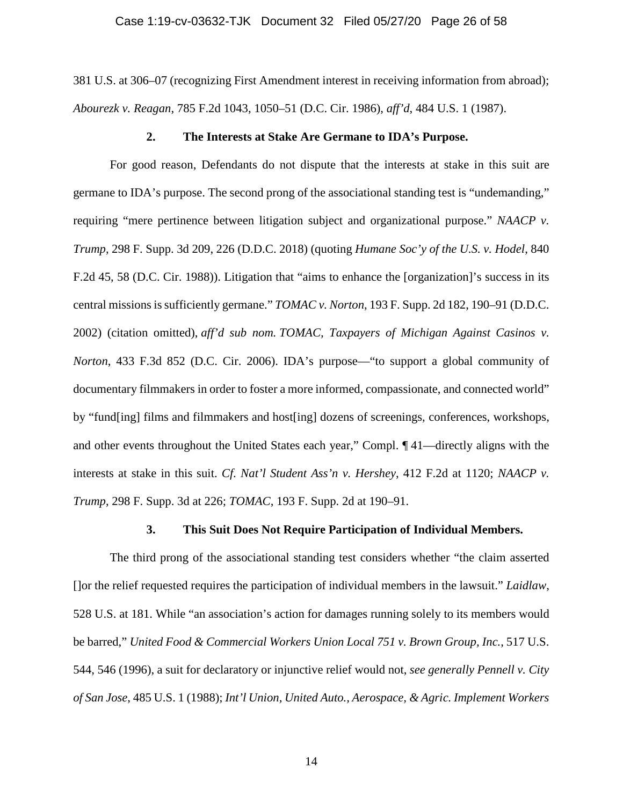381 U.S. at 306–07 (recognizing First Amendment interest in receiving information from abroad); *Abourezk v. Reagan*, 785 F.2d 1043, 1050–51 (D.C. Cir. 1986), *aff'd*, 484 U.S. 1 (1987).

## **2. The Interests at Stake Are Germane to IDA's Purpose.**

For good reason, Defendants do not dispute that the interests at stake in this suit are germane to IDA's purpose. The second prong of the associational standing test is "undemanding," requiring "mere pertinence between litigation subject and organizational purpose." *NAACP v. Trump*, 298 F. Supp. 3d 209, 226 (D.D.C. 2018) (quoting *Humane Soc'y of the U.S. v. Hodel*, 840 F.2d 45, 58 (D.C. Cir. 1988)). Litigation that "aims to enhance the [organization]'s success in its central missions is sufficiently germane." *TOMAC v. Norton*, 193 F. Supp. 2d 182, 190–91 (D.D.C. 2002) (citation omitted), *aff'd sub nom. TOMAC, Taxpayers of Michigan Against Casinos v. Norton*, 433 F.3d 852 (D.C. Cir. 2006). IDA's purpose—"to support a global community of documentary filmmakers in order to foster a more informed, compassionate, and connected world" by "fund[ing] films and filmmakers and host[ing] dozens of screenings, conferences, workshops, and other events throughout the United States each year," Compl. ¶ 41—directly aligns with the interests at stake in this suit. *Cf. Nat'l Student Ass'n v. Hershey*, 412 F.2d at 1120; *NAACP v. Trump*, 298 F. Supp. 3d at 226; *TOMAC*, 193 F. Supp. 2d at 190–91.

## **3. This Suit Does Not Require Participation of Individual Members.**

The third prong of the associational standing test considers whether "the claim asserted []or the relief requested requires the participation of individual members in the lawsuit." *Laidlaw*, 528 U.S. at 181. While "an association's action for damages running solely to its members would be barred," *United Food & Commercial Workers Union Local 751 v. Brown Group, Inc.*, 517 U.S. 544, 546 (1996), a suit for declaratory or injunctive relief would not, *see generally Pennell v. City of San Jose*, 485 U.S. 1 (1988); *Int'l Union, United Auto., Aerospace, & Agric. Implement Workers*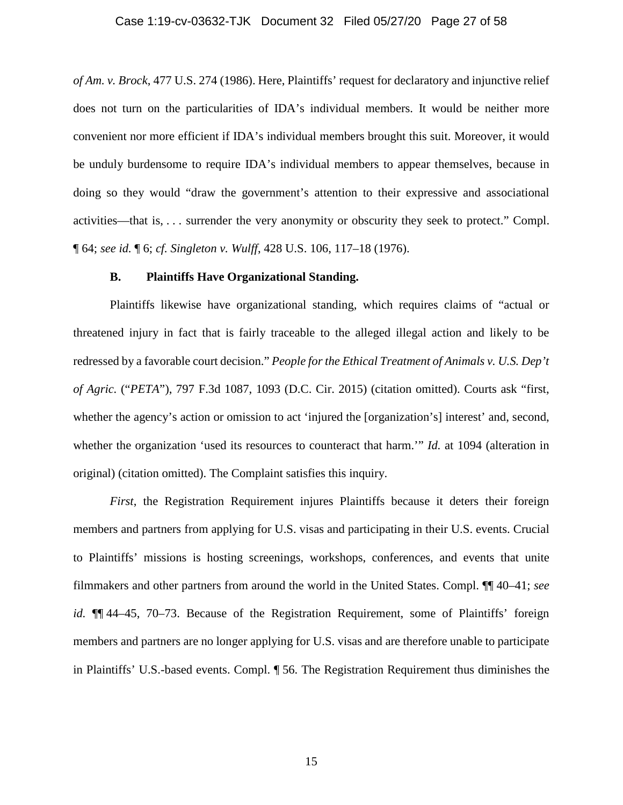*of Am. v. Brock*, 477 U.S. 274 (1986). Here, Plaintiffs' request for declaratory and injunctive relief does not turn on the particularities of IDA's individual members. It would be neither more convenient nor more efficient if IDA's individual members brought this suit. Moreover, it would be unduly burdensome to require IDA's individual members to appear themselves, because in doing so they would "draw the government's attention to their expressive and associational activities—that is, . . . surrender the very anonymity or obscurity they seek to protect." Compl. ¶ 64; *see id.* ¶ 6; *cf. Singleton v. Wulff*, 428 U.S. 106, 117–18 (1976).

## **B. Plaintiffs Have Organizational Standing.**

Plaintiffs likewise have organizational standing, which requires claims of "actual or threatened injury in fact that is fairly traceable to the alleged illegal action and likely to be redressed by a favorable court decision." *People for the Ethical Treatment of Animals v. U.S. Dep't of Agric.* ("*PETA*"), 797 F.3d 1087, 1093 (D.C. Cir. 2015) (citation omitted). Courts ask "first, whether the agency's action or omission to act 'injured the [organization's] interest' and, second, whether the organization 'used its resources to counteract that harm.'" *Id.* at 1094 (alteration in original) (citation omitted). The Complaint satisfies this inquiry.

*First*, the Registration Requirement injures Plaintiffs because it deters their foreign members and partners from applying for U.S. visas and participating in their U.S. events. Crucial to Plaintiffs' missions is hosting screenings, workshops, conferences, and events that unite filmmakers and other partners from around the world in the United States. Compl. ¶¶ 40–41; *see id.* ¶¶ 44–45, 70–73. Because of the Registration Requirement, some of Plaintiffs' foreign members and partners are no longer applying for U.S. visas and are therefore unable to participate in Plaintiffs' U.S.-based events. Compl. ¶ 56. The Registration Requirement thus diminishes the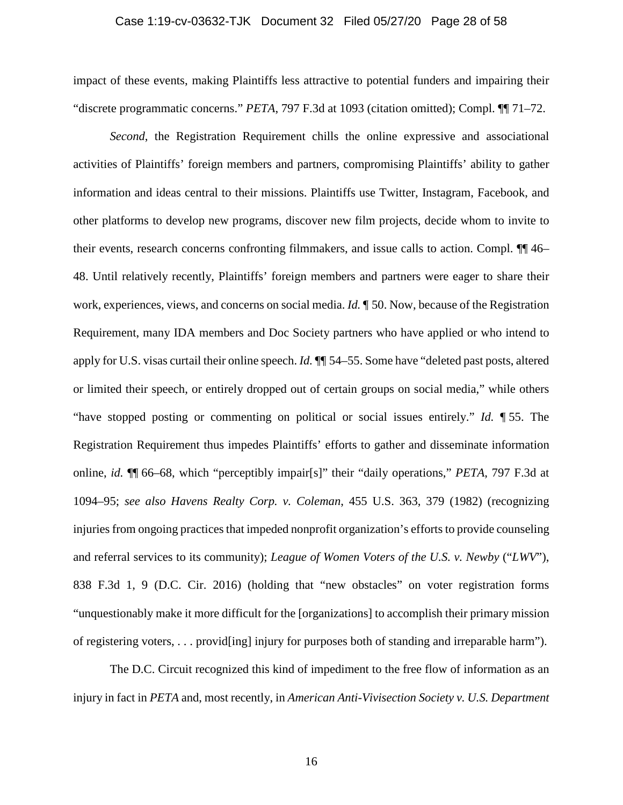#### Case 1:19-cv-03632-TJK Document 32 Filed 05/27/20 Page 28 of 58

impact of these events, making Plaintiffs less attractive to potential funders and impairing their "discrete programmatic concerns." *PETA*, 797 F.3d at 1093 (citation omitted); Compl. ¶¶ 71–72.

*Second*, the Registration Requirement chills the online expressive and associational activities of Plaintiffs' foreign members and partners, compromising Plaintiffs' ability to gather information and ideas central to their missions. Plaintiffs use Twitter, Instagram, Facebook, and other platforms to develop new programs, discover new film projects, decide whom to invite to their events, research concerns confronting filmmakers, and issue calls to action. Compl. ¶¶ 46– 48. Until relatively recently, Plaintiffs' foreign members and partners were eager to share their work, experiences, views, and concerns on social media. *Id.* ¶ 50. Now, because of the Registration Requirement, many IDA members and Doc Society partners who have applied or who intend to apply for U.S. visas curtail their online speech. *Id.* ¶¶ 54–55. Some have "deleted past posts, altered or limited their speech, or entirely dropped out of certain groups on social media," while others "have stopped posting or commenting on political or social issues entirely." *Id.* ¶ 55. The Registration Requirement thus impedes Plaintiffs' efforts to gather and disseminate information online, *id.* ¶¶ 66–68, which "perceptibly impair[s]" their "daily operations," *PETA*, 797 F.3d at 1094–95; *see also Havens Realty Corp. v. Coleman*, 455 U.S. 363, 379 (1982) (recognizing injuries from ongoing practices that impeded nonprofit organization's efforts to provide counseling and referral services to its community); *League of Women Voters of the U.S. v. Newby* ("*LWV*"), 838 F.3d 1, 9 (D.C. Cir. 2016) (holding that "new obstacles" on voter registration forms "unquestionably make it more difficult for the [organizations] to accomplish their primary mission of registering voters, . . . provid[ing] injury for purposes both of standing and irreparable harm").

The D.C. Circuit recognized this kind of impediment to the free flow of information as an injury in fact in *PETA* and, most recently, in *American Anti-Vivisection Society v. U.S. Department*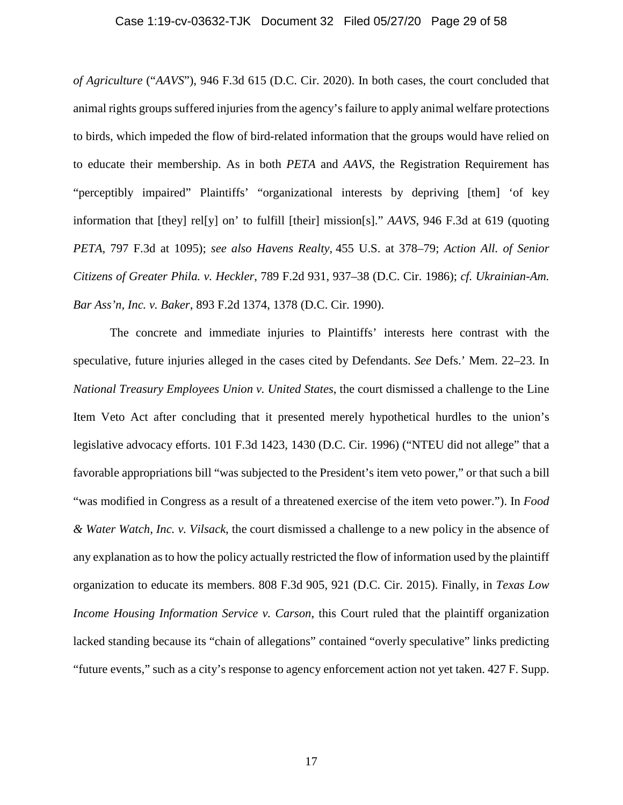#### Case 1:19-cv-03632-TJK Document 32 Filed 05/27/20 Page 29 of 58

*of Agriculture* ("*AAVS*"), 946 F.3d 615 (D.C. Cir. 2020). In both cases, the court concluded that animal rights groups suffered injuries from the agency's failure to apply animal welfare protections to birds, which impeded the flow of bird-related information that the groups would have relied on to educate their membership. As in both *PETA* and *AAVS*, the Registration Requirement has "perceptibly impaired" Plaintiffs' "organizational interests by depriving [them] 'of key information that [they] rel[y] on' to fulfill [their] mission[s]." *AAVS*, 946 F.3d at 619 (quoting *PETA*, 797 F.3d at 1095); *see also Havens Realty,* 455 U.S. at 378–79; *Action All. of Senior Citizens of Greater Phila. v. Heckler*, 789 F.2d 931, 937–38 (D.C. Cir. 1986); *cf. Ukrainian-Am. Bar Ass'n, Inc. v. Baker*, 893 F.2d 1374, 1378 (D.C. Cir. 1990).

The concrete and immediate injuries to Plaintiffs' interests here contrast with the speculative, future injuries alleged in the cases cited by Defendants. *See* Defs.' Mem. 22–23. In *National Treasury Employees Union v. United States*, the court dismissed a challenge to the Line Item Veto Act after concluding that it presented merely hypothetical hurdles to the union's legislative advocacy efforts. 101 F.3d 1423, 1430 (D.C. Cir. 1996) ("NTEU did not allege" that a favorable appropriations bill "was subjected to the President's item veto power," or that such a bill "was modified in Congress as a result of a threatened exercise of the item veto power."). In *Food & Water Watch, Inc. v. Vilsack*, the court dismissed a challenge to a new policy in the absence of any explanation as to how the policy actually restricted the flow of information used by the plaintiff organization to educate its members. 808 F.3d 905, 921 (D.C. Cir. 2015). Finally, in *Texas Low Income Housing Information Service v. Carson*, this Court ruled that the plaintiff organization lacked standing because its "chain of allegations" contained "overly speculative" links predicting "future events," such as a city's response to agency enforcement action not yet taken. 427 F. Supp.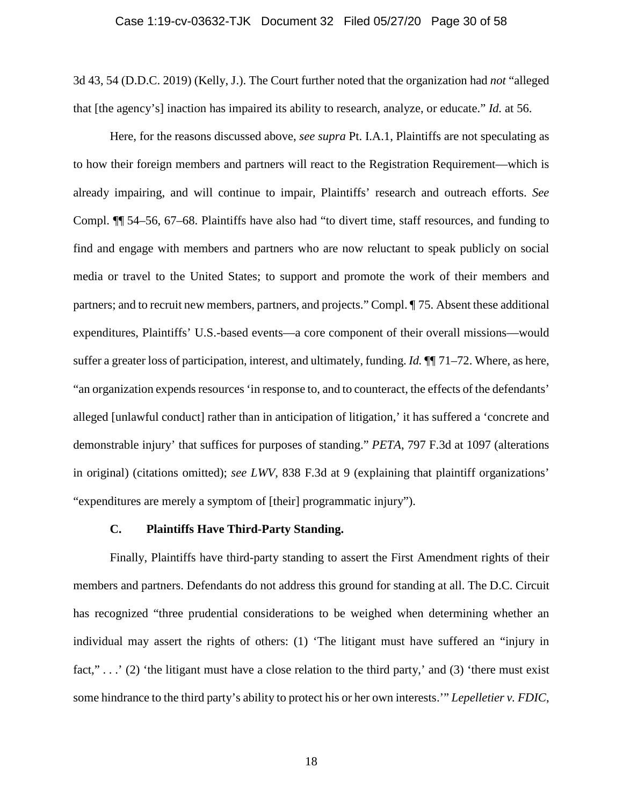3d 43, 54 (D.D.C. 2019) (Kelly, J.). The Court further noted that the organization had *not* "alleged that [the agency's] inaction has impaired its ability to research, analyze, or educate." *Id.* at 56.

Here, for the reasons discussed above, *see supra* Pt. I.A.1, Plaintiffs are not speculating as to how their foreign members and partners will react to the Registration Requirement—which is already impairing, and will continue to impair, Plaintiffs' research and outreach efforts. *See* Compl. ¶¶ 54–56, 67–68. Plaintiffs have also had "to divert time, staff resources, and funding to find and engage with members and partners who are now reluctant to speak publicly on social media or travel to the United States; to support and promote the work of their members and partners; and to recruit new members, partners, and projects." Compl. ¶ 75. Absent these additional expenditures, Plaintiffs' U.S.-based events—a core component of their overall missions—would suffer a greater loss of participation, interest, and ultimately, funding. *Id.* ¶¶ 71–72. Where, as here, "an organization expends resources 'in response to, and to counteract, the effects of the defendants' alleged [unlawful conduct] rather than in anticipation of litigation,' it has suffered a 'concrete and demonstrable injury' that suffices for purposes of standing." *PETA*, 797 F.3d at 1097 (alterations in original) (citations omitted); *see LWV*, 838 F.3d at 9 (explaining that plaintiff organizations' "expenditures are merely a symptom of [their] programmatic injury").

#### **C. Plaintiffs Have Third-Party Standing.**

Finally, Plaintiffs have third-party standing to assert the First Amendment rights of their members and partners. Defendants do not address this ground for standing at all. The D.C. Circuit has recognized "three prudential considerations to be weighed when determining whether an individual may assert the rights of others: (1) 'The litigant must have suffered an "injury in fact,"...' (2) 'the litigant must have a close relation to the third party,' and (3) 'there must exist some hindrance to the third party's ability to protect his or her own interests.'" *Lepelletier v. FDIC*,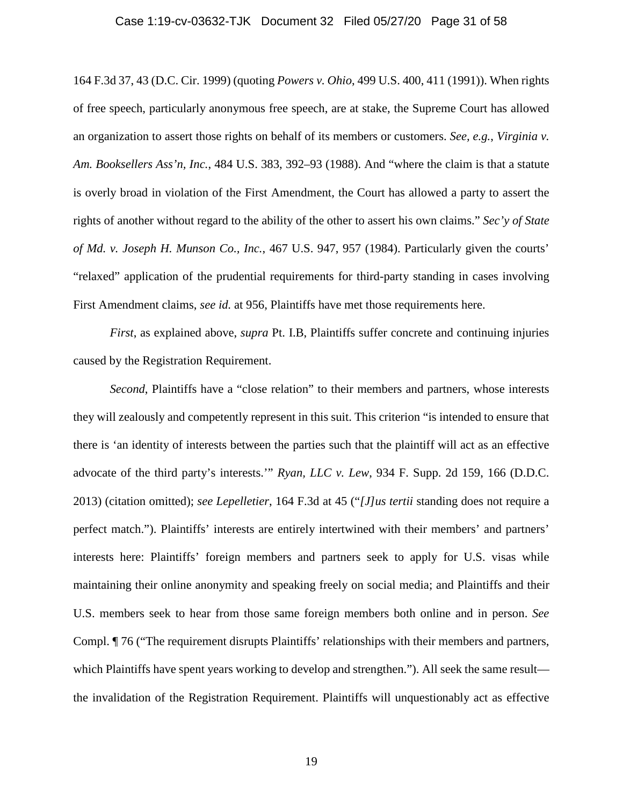#### Case 1:19-cv-03632-TJK Document 32 Filed 05/27/20 Page 31 of 58

164 F.3d 37, 43 (D.C. Cir. 1999) (quoting *Powers v. Ohio*, 499 U.S. 400, 411 (1991)). When rights of free speech, particularly anonymous free speech, are at stake, the Supreme Court has allowed an organization to assert those rights on behalf of its members or customers. *See, e.g.*, *Virginia v. Am. Booksellers Ass'n, Inc.*, 484 U.S. 383, 392–93 (1988). And "where the claim is that a statute is overly broad in violation of the First Amendment, the Court has allowed a party to assert the rights of another without regard to the ability of the other to assert his own claims." *Sec'y of State of Md. v. Joseph H. Munson Co., Inc.*, 467 U.S. 947, 957 (1984). Particularly given the courts' "relaxed" application of the prudential requirements for third-party standing in cases involving First Amendment claims, *see id.* at 956, Plaintiffs have met those requirements here.

*First*, as explained above, *supra* Pt. I.B, Plaintiffs suffer concrete and continuing injuries caused by the Registration Requirement.

*Second*, Plaintiffs have a "close relation" to their members and partners, whose interests they will zealously and competently represent in this suit. This criterion "is intended to ensure that there is 'an identity of interests between the parties such that the plaintiff will act as an effective advocate of the third party's interests.'" *Ryan, LLC v. Lew*, 934 F. Supp. 2d 159, 166 (D.D.C. 2013) (citation omitted); *see Lepelletier*, 164 F.3d at 45 ("*[J]us tertii* standing does not require a perfect match."). Plaintiffs' interests are entirely intertwined with their members' and partners' interests here: Plaintiffs' foreign members and partners seek to apply for U.S. visas while maintaining their online anonymity and speaking freely on social media; and Plaintiffs and their U.S. members seek to hear from those same foreign members both online and in person. *See* Compl. ¶ 76 ("The requirement disrupts Plaintiffs' relationships with their members and partners, which Plaintiffs have spent years working to develop and strengthen."). All seek the same result the invalidation of the Registration Requirement. Plaintiffs will unquestionably act as effective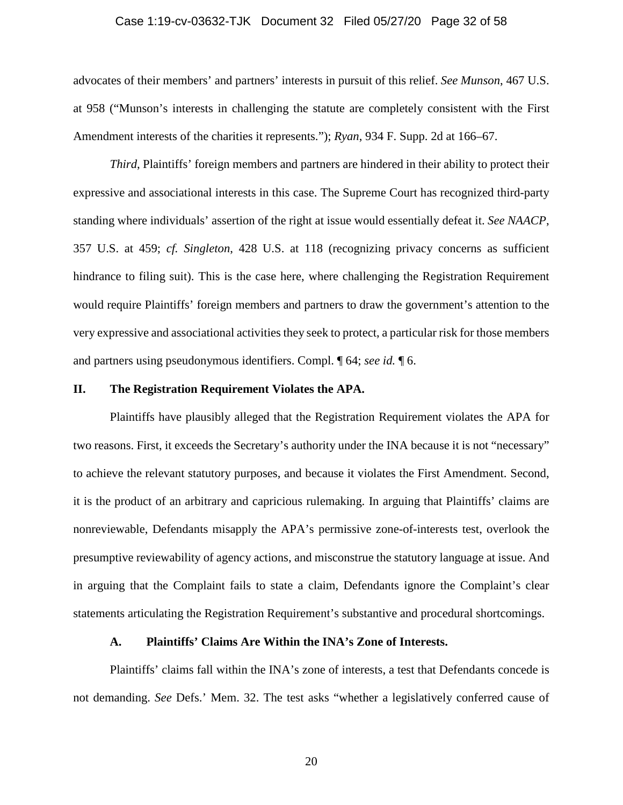#### Case 1:19-cv-03632-TJK Document 32 Filed 05/27/20 Page 32 of 58

advocates of their members' and partners' interests in pursuit of this relief. *See Munson*, 467 U.S. at 958 ("Munson's interests in challenging the statute are completely consistent with the First Amendment interests of the charities it represents."); *Ryan*, 934 F. Supp. 2d at 166–67.

*Third*, Plaintiffs' foreign members and partners are hindered in their ability to protect their expressive and associational interests in this case. The Supreme Court has recognized third-party standing where individuals' assertion of the right at issue would essentially defeat it. *See NAACP*, 357 U.S. at 459; *cf. Singleton*, 428 U.S. at 118 (recognizing privacy concerns as sufficient hindrance to filing suit). This is the case here, where challenging the Registration Requirement would require Plaintiffs' foreign members and partners to draw the government's attention to the very expressive and associational activities they seek to protect, a particular risk for those members and partners using pseudonymous identifiers. Compl. ¶ 64; *see id.* ¶ 6.

## **II. The Registration Requirement Violates the APA.**

Plaintiffs have plausibly alleged that the Registration Requirement violates the APA for two reasons. First, it exceeds the Secretary's authority under the INA because it is not "necessary" to achieve the relevant statutory purposes, and because it violates the First Amendment. Second, it is the product of an arbitrary and capricious rulemaking. In arguing that Plaintiffs' claims are nonreviewable, Defendants misapply the APA's permissive zone-of-interests test, overlook the presumptive reviewability of agency actions, and misconstrue the statutory language at issue. And in arguing that the Complaint fails to state a claim, Defendants ignore the Complaint's clear statements articulating the Registration Requirement's substantive and procedural shortcomings.

#### **A. Plaintiffs' Claims Are Within the INA's Zone of Interests.**

Plaintiffs' claims fall within the INA's zone of interests, a test that Defendants concede is not demanding. *See* Defs.' Mem. 32. The test asks "whether a legislatively conferred cause of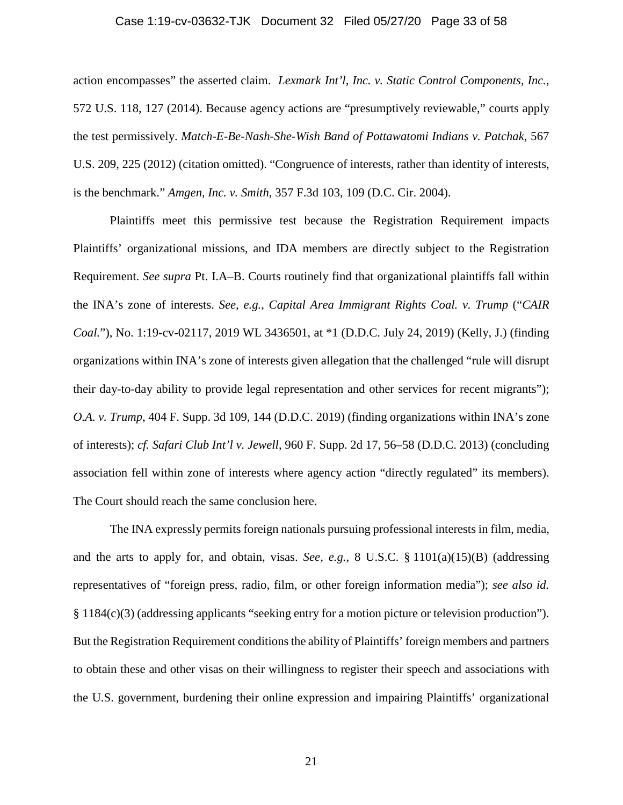#### Case 1:19-cv-03632-TJK Document 32 Filed 05/27/20 Page 33 of 58

action encompasses" the asserted claim. *Lexmark Int'l, Inc. v. Static Control Components, Inc.*, 572 U.S. 118, 127 (2014). Because agency actions are "presumptively reviewable," courts apply the test permissively. *Match-E-Be-Nash-She-Wish Band of Pottawatomi Indians v. Patchak*, 567 U.S. 209, 225 (2012) (citation omitted). "Congruence of interests, rather than identity of interests, is the benchmark." *Amgen, Inc. v. Smith*, 357 F.3d 103, 109 (D.C. Cir. 2004).

Plaintiffs meet this permissive test because the Registration Requirement impacts Plaintiffs' organizational missions, and IDA members are directly subject to the Registration Requirement. *See supra* Pt. I.A–B. Courts routinely find that organizational plaintiffs fall within the INA's zone of interests. *See, e.g.*, *Capital Area Immigrant Rights Coal. v. Trump* ("*CAIR Coal.*"), No. 1:19-cv-02117, 2019 WL 3436501, at \*1 (D.D.C. July 24, 2019) (Kelly, J.) (finding organizations within INA's zone of interests given allegation that the challenged "rule will disrupt their day-to-day ability to provide legal representation and other services for recent migrants"); *O.A. v. Trump*, 404 F. Supp. 3d 109, 144 (D.D.C. 2019) (finding organizations within INA's zone of interests); *cf. Safari Club Int'l v. Jewell*, 960 F. Supp. 2d 17, 56–58 (D.D.C. 2013) (concluding association fell within zone of interests where agency action "directly regulated" its members). The Court should reach the same conclusion here.

The INA expressly permits foreign nationals pursuing professional interests in film, media, and the arts to apply for, and obtain, visas. *See, e.g.*, 8 U.S.C. § 1101(a)(15)(B) (addressing representatives of "foreign press, radio, film, or other foreign information media"); *see also id.*  § 1184(c)(3) (addressing applicants "seeking entry for a motion picture or television production"). But the Registration Requirement conditions the ability of Plaintiffs' foreign members and partners to obtain these and other visas on their willingness to register their speech and associations with the U.S. government, burdening their online expression and impairing Plaintiffs' organizational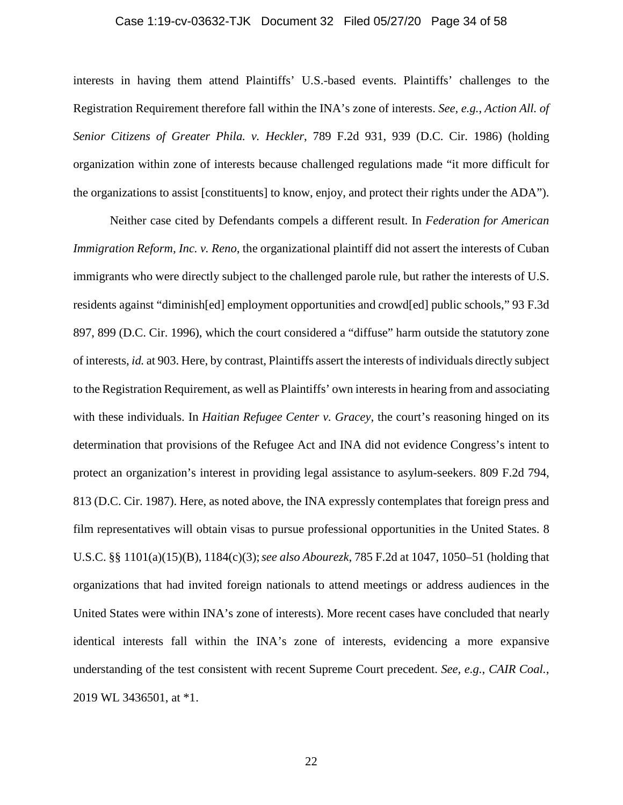#### Case 1:19-cv-03632-TJK Document 32 Filed 05/27/20 Page 34 of 58

interests in having them attend Plaintiffs' U.S.-based events. Plaintiffs' challenges to the Registration Requirement therefore fall within the INA's zone of interests. *See, e.g.*, *Action All. of Senior Citizens of Greater Phila. v. Heckler*, 789 F.2d 931, 939 (D.C. Cir. 1986) (holding organization within zone of interests because challenged regulations made "it more difficult for the organizations to assist [constituents] to know, enjoy, and protect their rights under the ADA").

Neither case cited by Defendants compels a different result. In *Federation for American Immigration Reform, Inc. v. Reno*, the organizational plaintiff did not assert the interests of Cuban immigrants who were directly subject to the challenged parole rule, but rather the interests of U.S. residents against "diminish[ed] employment opportunities and crowd[ed] public schools," 93 F.3d 897, 899 (D.C. Cir. 1996), which the court considered a "diffuse" harm outside the statutory zone of interests, *id.* at 903. Here, by contrast, Plaintiffs assert the interests of individuals directly subject to the Registration Requirement, as well as Plaintiffs' own interests in hearing from and associating with these individuals. In *Haitian Refugee Center v. Gracey*, the court's reasoning hinged on its determination that provisions of the Refugee Act and INA did not evidence Congress's intent to protect an organization's interest in providing legal assistance to asylum-seekers. 809 F.2d 794, 813 (D.C. Cir. 1987). Here, as noted above, the INA expressly contemplates that foreign press and film representatives will obtain visas to pursue professional opportunities in the United States. 8 U.S.C. §§ 1101(a)(15)(B), 1184(c)(3);*see also Abourezk*, 785 F.2d at 1047, 1050–51 (holding that organizations that had invited foreign nationals to attend meetings or address audiences in the United States were within INA's zone of interests). More recent cases have concluded that nearly identical interests fall within the INA's zone of interests, evidencing a more expansive understanding of the test consistent with recent Supreme Court precedent. *See, e.g.*, *CAIR Coal.*, 2019 WL 3436501, at \*1.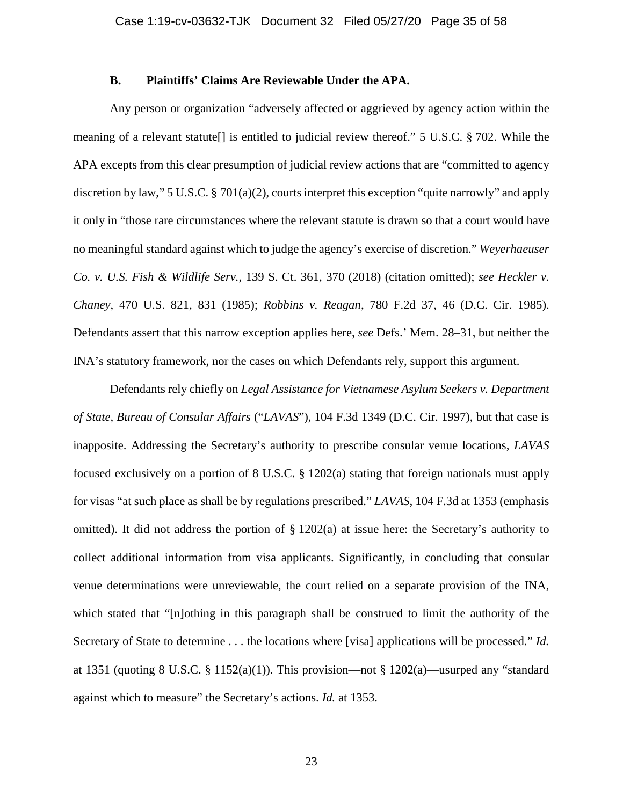# **B. Plaintiffs' Claims Are Reviewable Under the APA.**

Any person or organization "adversely affected or aggrieved by agency action within the meaning of a relevant statute[] is entitled to judicial review thereof." 5 U.S.C. § 702. While the APA excepts from this clear presumption of judicial review actions that are "committed to agency discretion by law," 5 U.S.C. § 701(a)(2), courts interpret this exception "quite narrowly" and apply it only in "those rare circumstances where the relevant statute is drawn so that a court would have no meaningful standard against which to judge the agency's exercise of discretion." *Weyerhaeuser Co. v. U.S. Fish & Wildlife Serv.*, 139 S. Ct. 361, 370 (2018) (citation omitted); *see Heckler v. Chaney*, 470 U.S. 821, 831 (1985); *Robbins v. Reagan*, 780 F.2d 37, 46 (D.C. Cir. 1985). Defendants assert that this narrow exception applies here, *see* Defs.' Mem. 28–31, but neither the INA's statutory framework, nor the cases on which Defendants rely, support this argument.

Defendants rely chiefly on *Legal Assistance for Vietnamese Asylum Seekers v. Department of State, Bureau of Consular Affairs* ("*LAVAS*"), 104 F.3d 1349 (D.C. Cir. 1997), but that case is inapposite. Addressing the Secretary's authority to prescribe consular venue locations, *LAVAS* focused exclusively on a portion of 8 U.S.C. § 1202(a) stating that foreign nationals must apply for visas "at such place as shall be by regulations prescribed." *LAVAS*, 104 F.3d at 1353 (emphasis omitted). It did not address the portion of  $\S 1202(a)$  at issue here: the Secretary's authority to collect additional information from visa applicants. Significantly, in concluding that consular venue determinations were unreviewable, the court relied on a separate provision of the INA, which stated that "[n]othing in this paragraph shall be construed to limit the authority of the Secretary of State to determine . . . the locations where [visa] applications will be processed." *Id.* at 1351 (quoting 8 U.S.C. § 1152(a)(1)). This provision—not § 1202(a)—usurped any "standard against which to measure" the Secretary's actions. *Id.* at 1353.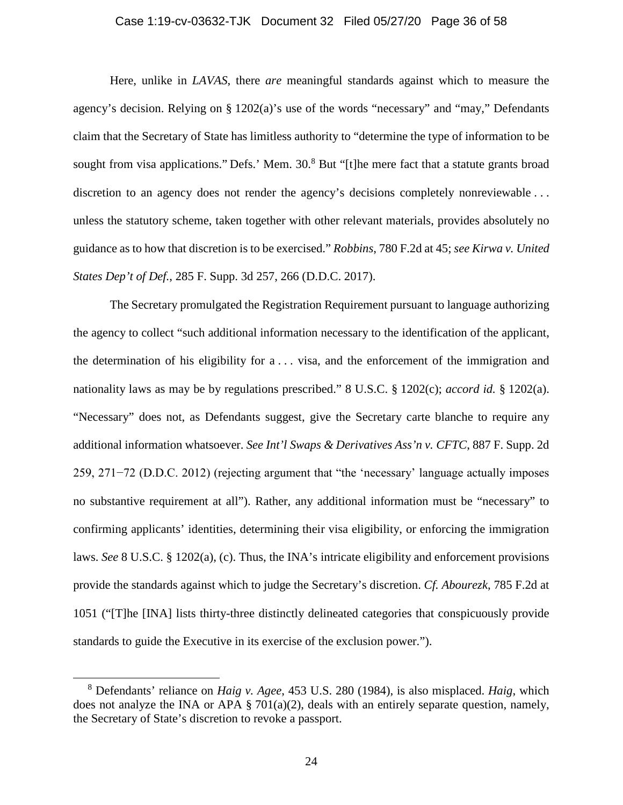#### Case 1:19-cv-03632-TJK Document 32 Filed 05/27/20 Page 36 of 58

Here, unlike in *LAVAS*, there *are* meaningful standards against which to measure the agency's decision. Relying on § 1202(a)'s use of the words "necessary" and "may," Defendants claim that the Secretary of State has limitless authority to "determine the type of information to be sought from visa applications." Defs.' Mem. 30.<sup>8</sup> But "[t]he mere fact that a statute grants broad discretion to an agency does not render the agency's decisions completely nonreviewable ... unless the statutory scheme, taken together with other relevant materials, provides absolutely no guidance as to how that discretion is to be exercised." *Robbins*, 780 F.2d at 45; *see Kirwa v. United States Dep't of Def.*, 285 F. Supp. 3d 257, 266 (D.D.C. 2017).

The Secretary promulgated the Registration Requirement pursuant to language authorizing the agency to collect "such additional information necessary to the identification of the applicant, the determination of his eligibility for a . . . visa, and the enforcement of the immigration and nationality laws as may be by regulations prescribed." 8 U.S.C. § 1202(c); *accord id.* § 1202(a). "Necessary" does not, as Defendants suggest, give the Secretary carte blanche to require any additional information whatsoever. *See Int'l Swaps & Derivatives Ass'n v. CFTC*, 887 F. Supp. 2d 259, 271−72 (D.D.C. 2012) (rejecting argument that "the 'necessary' language actually imposes no substantive requirement at all"). Rather, any additional information must be "necessary" to confirming applicants' identities, determining their visa eligibility, or enforcing the immigration laws. *See* 8 U.S.C. § 1202(a), (c). Thus, the INA's intricate eligibility and enforcement provisions provide the standards against which to judge the Secretary's discretion. *Cf. Abourezk*, 785 F.2d at 1051 ("[T]he [INA] lists thirty-three distinctly delineated categories that conspicuously provide standards to guide the Executive in its exercise of the exclusion power.").

<sup>8</sup> Defendants' reliance on *Haig v. Agee*, 453 U.S. 280 (1984), is also misplaced. *Haig*, which does not analyze the INA or APA § 701(a)(2), deals with an entirely separate question, namely, the Secretary of State's discretion to revoke a passport.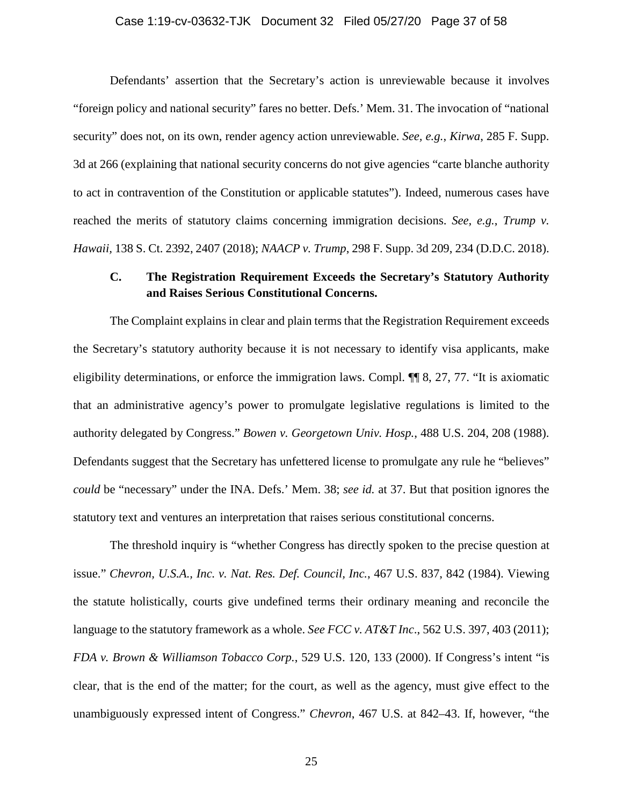#### Case 1:19-cv-03632-TJK Document 32 Filed 05/27/20 Page 37 of 58

Defendants' assertion that the Secretary's action is unreviewable because it involves "foreign policy and national security" fares no better. Defs.' Mem. 31. The invocation of "national security" does not, on its own, render agency action unreviewable. *See, e.g.*, *Kirwa*, 285 F. Supp. 3d at 266 (explaining that national security concerns do not give agencies "carte blanche authority to act in contravention of the Constitution or applicable statutes"). Indeed, numerous cases have reached the merits of statutory claims concerning immigration decisions. *See, e.g.*, *Trump v. Hawaii,* 138 S. Ct. 2392, 2407 (2018); *NAACP v. Trump*, 298 F. Supp. 3d 209, 234 (D.D.C. 2018).

# **C. The Registration Requirement Exceeds the Secretary's Statutory Authority and Raises Serious Constitutional Concerns.**

The Complaint explains in clear and plain terms that the Registration Requirement exceeds the Secretary's statutory authority because it is not necessary to identify visa applicants, make eligibility determinations, or enforce the immigration laws. Compl. ¶¶ 8, 27, 77. "It is axiomatic that an administrative agency's power to promulgate legislative regulations is limited to the authority delegated by Congress." *Bowen v. Georgetown Univ. Hosp.*, 488 U.S. 204, 208 (1988). Defendants suggest that the Secretary has unfettered license to promulgate any rule he "believes" *could* be "necessary" under the INA. Defs.' Mem. 38; *see id.* at 37. But that position ignores the statutory text and ventures an interpretation that raises serious constitutional concerns.

The threshold inquiry is "whether Congress has directly spoken to the precise question at issue." *Chevron, U.S.A., Inc. v. Nat. Res. Def. Council, Inc.*, 467 U.S. 837, 842 (1984). Viewing the statute holistically, courts give undefined terms their ordinary meaning and reconcile the language to the statutory framework as a whole. *See FCC v. AT&T Inc*., 562 U.S. 397, 403 (2011); *FDA v. Brown & Williamson Tobacco Corp.*, 529 U.S. 120, 133 (2000). If Congress's intent "is clear, that is the end of the matter; for the court, as well as the agency, must give effect to the unambiguously expressed intent of Congress." *Chevron*, 467 U.S. at 842–43. If, however, "the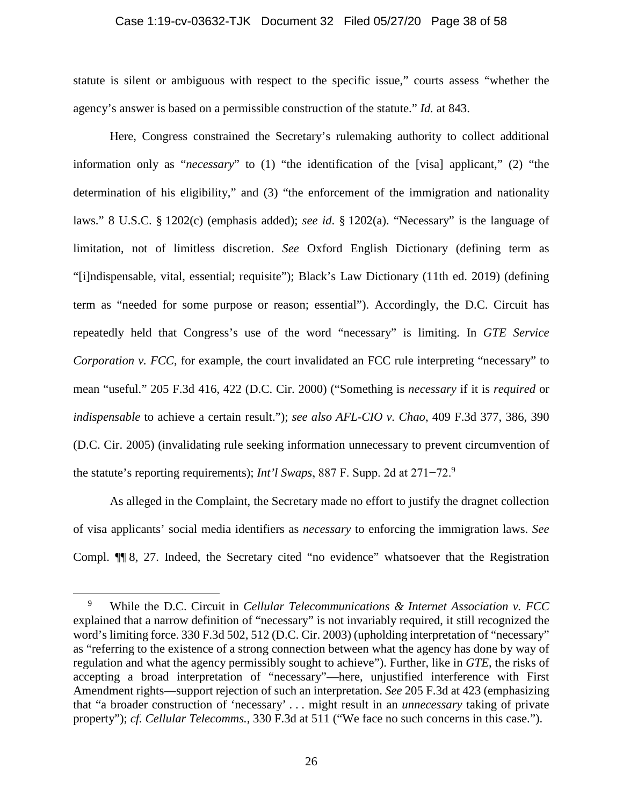#### Case 1:19-cv-03632-TJK Document 32 Filed 05/27/20 Page 38 of 58

statute is silent or ambiguous with respect to the specific issue," courts assess "whether the agency's answer is based on a permissible construction of the statute." *Id.* at 843.

Here, Congress constrained the Secretary's rulemaking authority to collect additional information only as "*necessary*" to (1) "the identification of the [visa] applicant," (2) "the determination of his eligibility," and (3) "the enforcement of the immigration and nationality laws." 8 U.S.C. § 1202(c) (emphasis added); *see id*. § 1202(a). "Necessary" is the language of limitation, not of limitless discretion. *See* Oxford English Dictionary (defining term as "[i]ndispensable, vital, essential; requisite"); Black's Law Dictionary (11th ed. 2019) (defining term as "needed for some purpose or reason; essential"). Accordingly, the D.C. Circuit has repeatedly held that Congress's use of the word "necessary" is limiting. In *GTE Service Corporation v. FCC*, for example, the court invalidated an FCC rule interpreting "necessary" to mean "useful." 205 F.3d 416, 422 (D.C. Cir. 2000) ("Something is *necessary* if it is *required* or *indispensable* to achieve a certain result."); *see also AFL-CIO v. Chao*, 409 F.3d 377, 386, 390 (D.C. Cir. 2005) (invalidating rule seeking information unnecessary to prevent circumvention of the statute's reporting requirements); *Int'l Swaps*, 887 F. Supp. 2d at 271−72. 9

As alleged in the Complaint, the Secretary made no effort to justify the dragnet collection of visa applicants' social media identifiers as *necessary* to enforcing the immigration laws. *See* Compl. ¶¶ 8, 27. Indeed, the Secretary cited "no evidence" whatsoever that the Registration

<sup>9</sup> While the D.C. Circuit in *Cellular Telecommunications & Internet Association v. FCC* explained that a narrow definition of "necessary" is not invariably required, it still recognized the word's limiting force. 330 F.3d 502, 512 (D.C. Cir. 2003) (upholding interpretation of "necessary" as "referring to the existence of a strong connection between what the agency has done by way of regulation and what the agency permissibly sought to achieve"). Further, like in *GTE*, the risks of accepting a broad interpretation of "necessary"—here, unjustified interference with First Amendment rights—support rejection of such an interpretation. *See* 205 F.3d at 423 (emphasizing that "a broader construction of 'necessary' . . . might result in an *unnecessary* taking of private property"); *cf. Cellular Telecomms.*, 330 F.3d at 511 ("We face no such concerns in this case.").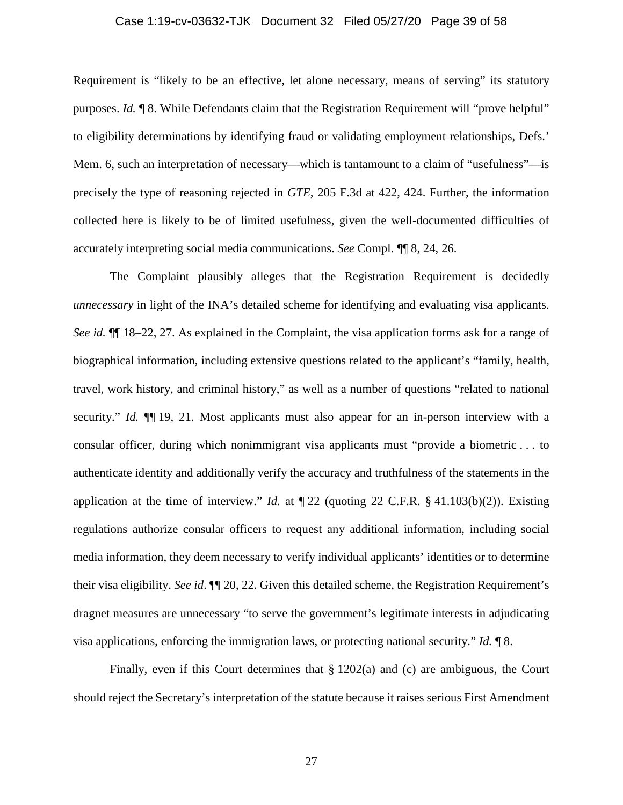#### Case 1:19-cv-03632-TJK Document 32 Filed 05/27/20 Page 39 of 58

Requirement is "likely to be an effective, let alone necessary, means of serving" its statutory purposes. *Id.*  $\llbracket 8$ . While Defendants claim that the Registration Requirement will "prove helpful" to eligibility determinations by identifying fraud or validating employment relationships, Defs.' Mem. 6, such an interpretation of necessary—which is tantamount to a claim of "usefulness"—is precisely the type of reasoning rejected in *GTE*, 205 F.3d at 422, 424. Further, the information collected here is likely to be of limited usefulness, given the well-documented difficulties of accurately interpreting social media communications. *See* Compl. ¶¶ 8, 24, 26.

The Complaint plausibly alleges that the Registration Requirement is decidedly *unnecessary* in light of the INA's detailed scheme for identifying and evaluating visa applicants. *See id.* ¶¶ 18–22, 27. As explained in the Complaint, the visa application forms ask for a range of biographical information, including extensive questions related to the applicant's "family, health, travel, work history, and criminal history," as well as a number of questions "related to national security." *Id.*  $\P$ [19, 21. Most applicants must also appear for an in-person interview with a consular officer, during which nonimmigrant visa applicants must "provide a biometric . . . to authenticate identity and additionally verify the accuracy and truthfulness of the statements in the application at the time of interview." *Id.* at ¶ 22 (quoting 22 C.F.R. § 41.103(b)(2)). Existing regulations authorize consular officers to request any additional information, including social media information, they deem necessary to verify individual applicants' identities or to determine their visa eligibility. *See id*. ¶¶ 20, 22. Given this detailed scheme, the Registration Requirement's dragnet measures are unnecessary "to serve the government's legitimate interests in adjudicating visa applications, enforcing the immigration laws, or protecting national security." *Id.* ¶ 8.

Finally, even if this Court determines that § 1202(a) and (c) are ambiguous, the Court should reject the Secretary's interpretation of the statute because it raises serious First Amendment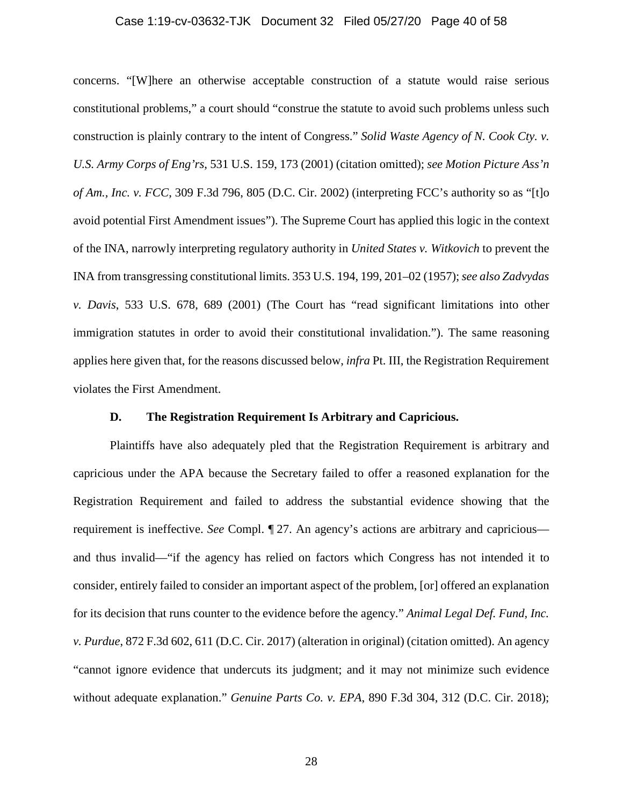#### Case 1:19-cv-03632-TJK Document 32 Filed 05/27/20 Page 40 of 58

concerns. "[W]here an otherwise acceptable construction of a statute would raise serious constitutional problems," a court should "construe the statute to avoid such problems unless such construction is plainly contrary to the intent of Congress." *Solid Waste Agency of N. Cook Cty. v. U.S. Army Corps of Eng'rs*, 531 U.S. 159, 173 (2001) (citation omitted); *see Motion Picture Ass'n of Am., Inc. v. FCC*, 309 F.3d 796, 805 (D.C. Cir. 2002) (interpreting FCC's authority so as "[t]o avoid potential First Amendment issues"). The Supreme Court has applied this logic in the context of the INA, narrowly interpreting regulatory authority in *United States v. Witkovich* to prevent the INA from transgressing constitutional limits. 353 U.S. 194, 199, 201–02 (1957); *see also Zadvydas v. Davis*, 533 U.S. 678, 689 (2001) (The Court has "read significant limitations into other immigration statutes in order to avoid their constitutional invalidation."). The same reasoning applies here given that, for the reasons discussed below, *infra* Pt. III, the Registration Requirement violates the First Amendment.

## **D. The Registration Requirement Is Arbitrary and Capricious.**

Plaintiffs have also adequately pled that the Registration Requirement is arbitrary and capricious under the APA because the Secretary failed to offer a reasoned explanation for the Registration Requirement and failed to address the substantial evidence showing that the requirement is ineffective. *See* Compl. ¶ 27. An agency's actions are arbitrary and capricious and thus invalid—"if the agency has relied on factors which Congress has not intended it to consider, entirely failed to consider an important aspect of the problem, [or] offered an explanation for its decision that runs counter to the evidence before the agency." *Animal Legal Def. Fund, Inc. v. Purdue*, 872 F.3d 602, 611 (D.C. Cir. 2017) (alteration in original) (citation omitted). An agency "cannot ignore evidence that undercuts its judgment; and it may not minimize such evidence without adequate explanation." *Genuine Parts Co. v. EPA*, 890 F.3d 304, 312 (D.C. Cir. 2018);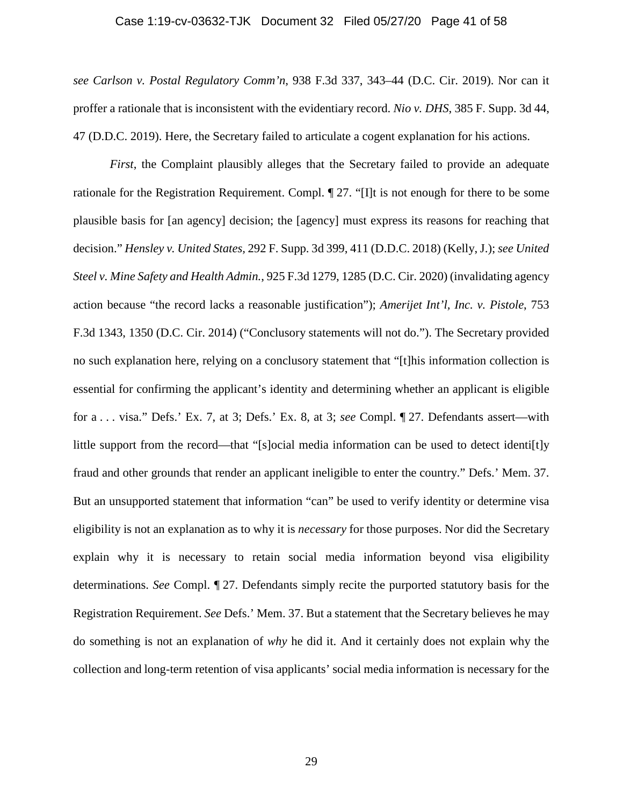#### Case 1:19-cv-03632-TJK Document 32 Filed 05/27/20 Page 41 of 58

*see Carlson v. Postal Regulatory Comm'n*, 938 F.3d 337, 343–44 (D.C. Cir. 2019). Nor can it proffer a rationale that is inconsistent with the evidentiary record. *Nio v. DHS*, 385 F. Supp. 3d 44, 47 (D.D.C. 2019). Here, the Secretary failed to articulate a cogent explanation for his actions.

*First*, the Complaint plausibly alleges that the Secretary failed to provide an adequate rationale for the Registration Requirement. Compl. ¶ 27. "[I]t is not enough for there to be some plausible basis for [an agency] decision; the [agency] must express its reasons for reaching that decision." *Hensley v. United States,* 292 F. Supp. 3d 399, 411 (D.D.C. 2018) (Kelly, J.); *see United Steel v. Mine Safety and Health Admin.*, 925 F.3d 1279, 1285 (D.C. Cir. 2020) (invalidating agency action because "the record lacks a reasonable justification"); *Amerijet Int'l, Inc. v. Pistole*, 753 F.3d 1343, 1350 (D.C. Cir. 2014) ("Conclusory statements will not do."). The Secretary provided no such explanation here, relying on a conclusory statement that "[t]his information collection is essential for confirming the applicant's identity and determining whether an applicant is eligible for a . . . visa." Defs.' Ex. 7, at 3; Defs.' Ex. 8, at 3; *see* Compl. ¶ 27. Defendants assert—with little support from the record—that "[s]ocial media information can be used to detect identi[t]y fraud and other grounds that render an applicant ineligible to enter the country." Defs.' Mem. 37. But an unsupported statement that information "can" be used to verify identity or determine visa eligibility is not an explanation as to why it is *necessary* for those purposes. Nor did the Secretary explain why it is necessary to retain social media information beyond visa eligibility determinations. *See* Compl. ¶ 27. Defendants simply recite the purported statutory basis for the Registration Requirement. *See* Defs.' Mem. 37. But a statement that the Secretary believes he may do something is not an explanation of *why* he did it. And it certainly does not explain why the collection and long-term retention of visa applicants' social media information is necessary for the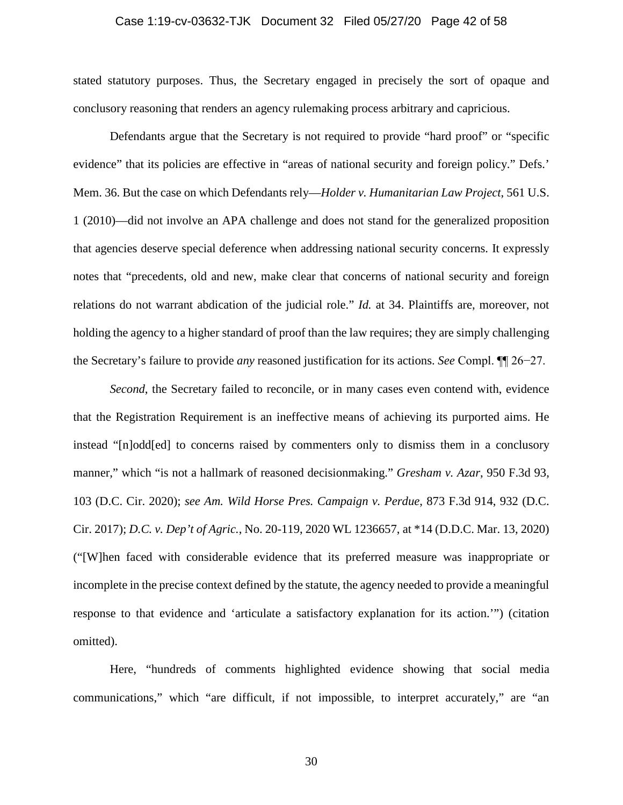#### Case 1:19-cv-03632-TJK Document 32 Filed 05/27/20 Page 42 of 58

stated statutory purposes. Thus, the Secretary engaged in precisely the sort of opaque and conclusory reasoning that renders an agency rulemaking process arbitrary and capricious.

Defendants argue that the Secretary is not required to provide "hard proof" or "specific evidence" that its policies are effective in "areas of national security and foreign policy." Defs.' Mem. 36. But the case on which Defendants rely—*Holder v. Humanitarian Law Project*, 561 U.S. 1 (2010)—did not involve an APA challenge and does not stand for the generalized proposition that agencies deserve special deference when addressing national security concerns. It expressly notes that "precedents, old and new, make clear that concerns of national security and foreign relations do not warrant abdication of the judicial role." *Id.* at 34. Plaintiffs are, moreover, not holding the agency to a higher standard of proof than the law requires; they are simply challenging the Secretary's failure to provide *any* reasoned justification for its actions. *See* Compl. ¶¶ 26−27.

*Second*, the Secretary failed to reconcile, or in many cases even contend with, evidence that the Registration Requirement is an ineffective means of achieving its purported aims. He instead "[n]odd[ed] to concerns raised by commenters only to dismiss them in a conclusory manner," which "is not a hallmark of reasoned decisionmaking." *Gresham v. Azar*, 950 F.3d 93, 103 (D.C. Cir. 2020); *see Am. Wild Horse Pres. Campaign v. Perdue*, 873 F.3d 914, 932 (D.C. Cir. 2017); *D.C. v. Dep't of Agric.*, No. 20-119, 2020 WL 1236657, at \*14 (D.D.C. Mar. 13, 2020) ("[W]hen faced with considerable evidence that its preferred measure was inappropriate or incomplete in the precise context defined by the statute, the agency needed to provide a meaningful response to that evidence and 'articulate a satisfactory explanation for its action.'") (citation omitted).

Here, "hundreds of comments highlighted evidence showing that social media communications," which "are difficult, if not impossible, to interpret accurately," are "an

30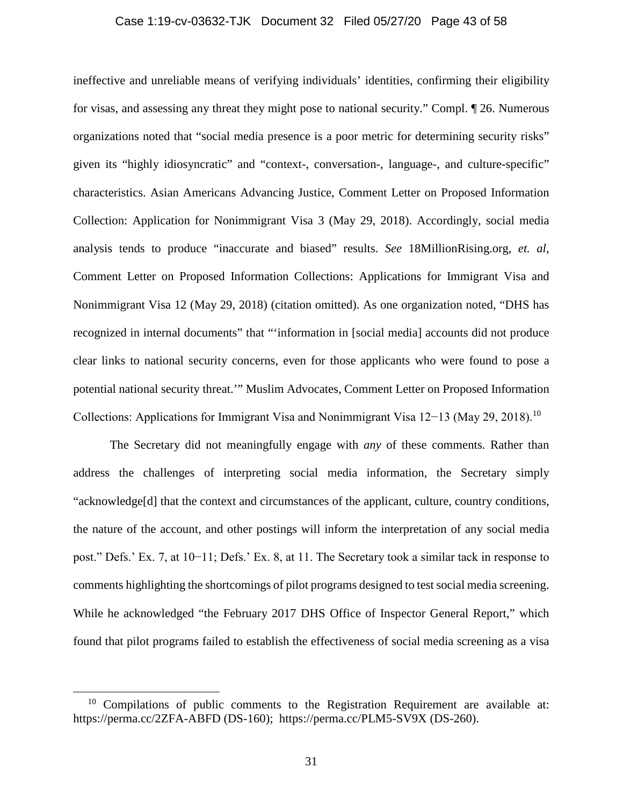#### Case 1:19-cv-03632-TJK Document 32 Filed 05/27/20 Page 43 of 58

ineffective and unreliable means of verifying individuals' identities, confirming their eligibility for visas, and assessing any threat they might pose to national security." Compl. ¶ 26. Numerous organizations noted that "social media presence is a poor metric for determining security risks" given its "highly idiosyncratic" and "context-, conversation-, language-, and culture-specific" characteristics. Asian Americans Advancing Justice, Comment Letter on Proposed Information Collection: Application for Nonimmigrant Visa 3 (May 29, 2018). Accordingly, social media analysis tends to produce "inaccurate and biased" results. *See* 18MillionRising.org, *et. al*, Comment Letter on Proposed Information Collections: Applications for Immigrant Visa and Nonimmigrant Visa 12 (May 29, 2018) (citation omitted). As one organization noted, "DHS has recognized in internal documents" that "'information in [social media] accounts did not produce clear links to national security concerns, even for those applicants who were found to pose a potential national security threat.'" Muslim Advocates, Comment Letter on Proposed Information Collections: Applications for Immigrant Visa and Nonimmigrant Visa 12−13 (May 29, 2018). 10

The Secretary did not meaningfully engage with *any* of these comments. Rather than address the challenges of interpreting social media information, the Secretary simply "acknowledge[d] that the context and circumstances of the applicant, culture, country conditions, the nature of the account, and other postings will inform the interpretation of any social media post." Defs.' Ex. 7, at 10−11; Defs.' Ex. 8, at 11. The Secretary took a similar tack in response to comments highlighting the shortcomings of pilot programs designed to test social media screening. While he acknowledged "the February 2017 DHS Office of Inspector General Report," which found that pilot programs failed to establish the effectiveness of social media screening as a visa

<sup>&</sup>lt;sup>10</sup> Compilations of public comments to the Registration Requirement are available at: https://perma.cc/2ZFA-ABFD (DS-160); https://perma.cc/PLM5-SV9X (DS-260).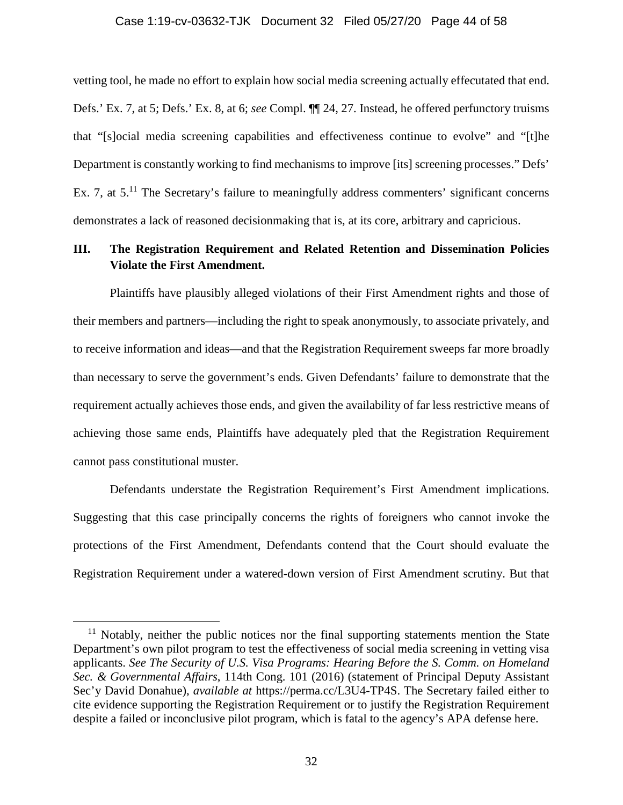#### Case 1:19-cv-03632-TJK Document 32 Filed 05/27/20 Page 44 of 58

vetting tool, he made no effort to explain how social media screening actually effecutated that end. Defs.' Ex. 7, at 5; Defs.' Ex. 8, at 6; *see* Compl. ¶¶ 24, 27. Instead, he offered perfunctory truisms that "[s]ocial media screening capabilities and effectiveness continue to evolve" and "[t]he Department is constantly working to find mechanisms to improve [its] screening processes." Defs' Ex. 7, at  $5<sup>11</sup>$  The Secretary's failure to meaningfully address commenters' significant concerns demonstrates a lack of reasoned decisionmaking that is, at its core, arbitrary and capricious.

# **III. The Registration Requirement and Related Retention and Dissemination Policies Violate the First Amendment.**

Plaintiffs have plausibly alleged violations of their First Amendment rights and those of their members and partners—including the right to speak anonymously, to associate privately, and to receive information and ideas—and that the Registration Requirement sweeps far more broadly than necessary to serve the government's ends. Given Defendants' failure to demonstrate that the requirement actually achieves those ends, and given the availability of far less restrictive means of achieving those same ends, Plaintiffs have adequately pled that the Registration Requirement cannot pass constitutional muster.

Defendants understate the Registration Requirement's First Amendment implications. Suggesting that this case principally concerns the rights of foreigners who cannot invoke the protections of the First Amendment, Defendants contend that the Court should evaluate the Registration Requirement under a watered-down version of First Amendment scrutiny. But that

 $11$  Notably, neither the public notices nor the final supporting statements mention the State Department's own pilot program to test the effectiveness of social media screening in vetting visa applicants. *See The Security of U.S. Visa Programs: Hearing Before the S. Comm. on Homeland Sec. & Governmental Affairs*, 114th Cong. 101 (2016) (statement of Principal Deputy Assistant Sec'y David Donahue), *available at* https://perma.cc/L3U4-TP4S. The Secretary failed either to cite evidence supporting the Registration Requirement or to justify the Registration Requirement despite a failed or inconclusive pilot program, which is fatal to the agency's APA defense here.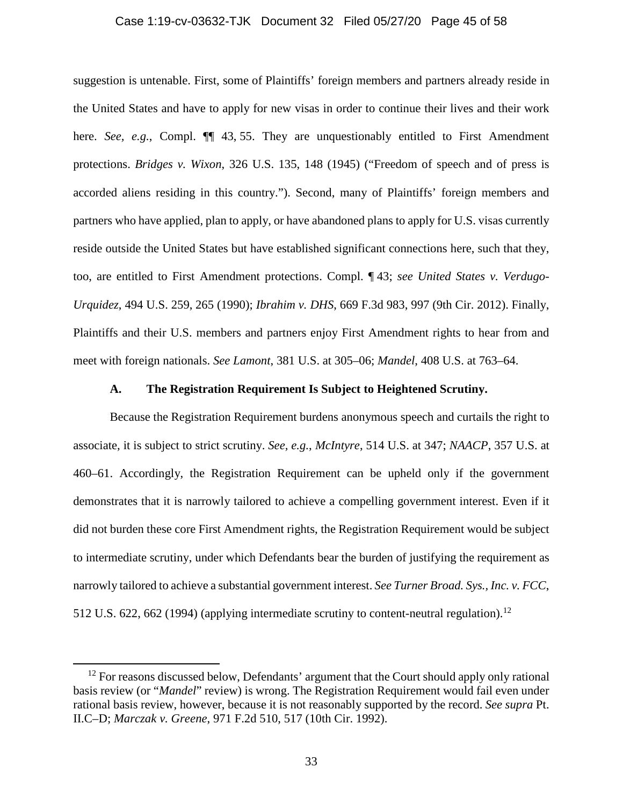#### Case 1:19-cv-03632-TJK Document 32 Filed 05/27/20 Page 45 of 58

suggestion is untenable. First, some of Plaintiffs' foreign members and partners already reside in the United States and have to apply for new visas in order to continue their lives and their work here. *See, e.g.*, Compl.  $\P\P$  43, 55. They are unquestionably entitled to First Amendment protections. *Bridges v. Wixon*, 326 U.S. 135, 148 (1945) ("Freedom of speech and of press is accorded aliens residing in this country."). Second, many of Plaintiffs' foreign members and partners who have applied, plan to apply, or have abandoned plans to apply for U.S. visas currently reside outside the United States but have established significant connections here, such that they, too, are entitled to First Amendment protections. Compl. ¶ 43; *see United States v. Verdugo-Urquidez*, 494 U.S. 259, 265 (1990); *Ibrahim v. DHS*, 669 F.3d 983, 997 (9th Cir. 2012). Finally, Plaintiffs and their U.S. members and partners enjoy First Amendment rights to hear from and meet with foreign nationals. *See Lamont*, 381 U.S. at 305–06; *Mandel*, 408 U.S. at 763–64.

### **A. The Registration Requirement Is Subject to Heightened Scrutiny.**

Because the Registration Requirement burdens anonymous speech and curtails the right to associate, it is subject to strict scrutiny. *See, e.g.*, *McIntyre*, 514 U.S. at 347; *NAACP*, 357 U.S. at 460–61. Accordingly, the Registration Requirement can be upheld only if the government demonstrates that it is narrowly tailored to achieve a compelling government interest. Even if it did not burden these core First Amendment rights, the Registration Requirement would be subject to intermediate scrutiny, under which Defendants bear the burden of justifying the requirement as narrowly tailored to achieve a substantial government interest. *See Turner Broad. Sys., Inc. v. FCC*, 512 U.S. 622, 662 (1994) (applying intermediate scrutiny to content-neutral regulation).<sup>12</sup>

<sup>&</sup>lt;sup>12</sup> For reasons discussed below, Defendants' argument that the Court should apply only rational basis review (or "*Mandel*" review) is wrong. The Registration Requirement would fail even under rational basis review, however, because it is not reasonably supported by the record. *See supra* Pt. II.C–D; *Marczak v. Greene*, 971 F.2d 510, 517 (10th Cir. 1992).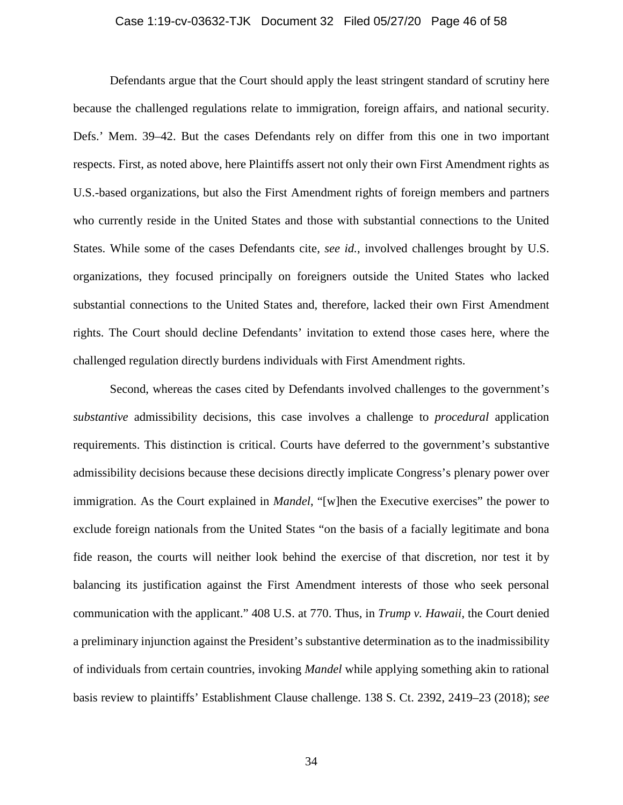#### Case 1:19-cv-03632-TJK Document 32 Filed 05/27/20 Page 46 of 58

Defendants argue that the Court should apply the least stringent standard of scrutiny here because the challenged regulations relate to immigration, foreign affairs, and national security. Defs.' Mem. 39–42. But the cases Defendants rely on differ from this one in two important respects. First, as noted above, here Plaintiffs assert not only their own First Amendment rights as U.S.-based organizations, but also the First Amendment rights of foreign members and partners who currently reside in the United States and those with substantial connections to the United States. While some of the cases Defendants cite, *see id.*, involved challenges brought by U.S. organizations, they focused principally on foreigners outside the United States who lacked substantial connections to the United States and, therefore, lacked their own First Amendment rights. The Court should decline Defendants' invitation to extend those cases here, where the challenged regulation directly burdens individuals with First Amendment rights.

Second, whereas the cases cited by Defendants involved challenges to the government's *substantive* admissibility decisions, this case involves a challenge to *procedural* application requirements. This distinction is critical. Courts have deferred to the government's substantive admissibility decisions because these decisions directly implicate Congress's plenary power over immigration. As the Court explained in *Mandel*, "[w]hen the Executive exercises" the power to exclude foreign nationals from the United States "on the basis of a facially legitimate and bona fide reason, the courts will neither look behind the exercise of that discretion, nor test it by balancing its justification against the First Amendment interests of those who seek personal communication with the applicant." 408 U.S. at 770. Thus, in *Trump v. Hawaii*, the Court denied a preliminary injunction against the President's substantive determination as to the inadmissibility of individuals from certain countries, invoking *Mandel* while applying something akin to rational basis review to plaintiffs' Establishment Clause challenge. 138 S. Ct. 2392, 2419–23 (2018); *see*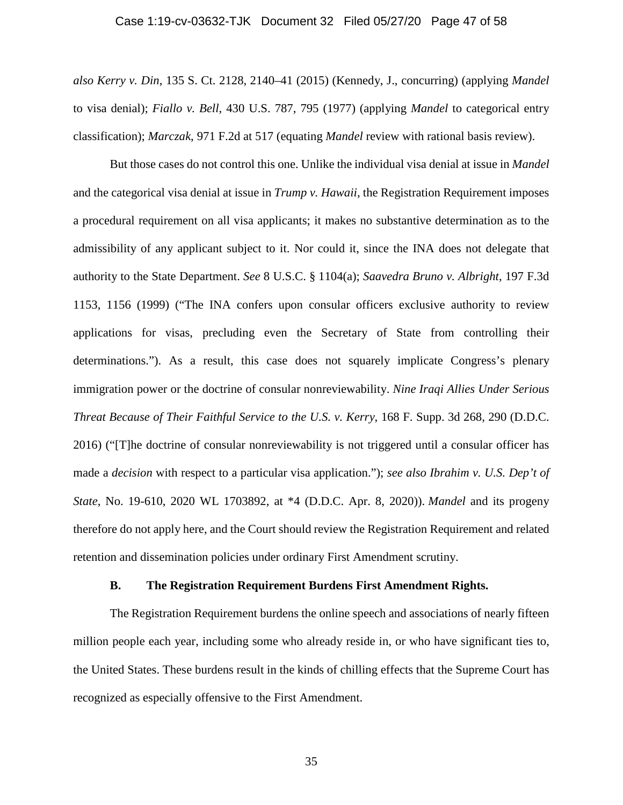#### Case 1:19-cv-03632-TJK Document 32 Filed 05/27/20 Page 47 of 58

*also Kerry v. Din*, 135 S. Ct. 2128, 2140–41 (2015) (Kennedy, J., concurring) (applying *Mandel* to visa denial); *Fiallo v. Bell*, 430 U.S. 787, 795 (1977) (applying *Mandel* to categorical entry classification); *Marczak*, 971 F.2d at 517 (equating *Mandel* review with rational basis review).

But those cases do not control this one. Unlike the individual visa denial at issue in *Mandel* and the categorical visa denial at issue in *Trump v. Hawaii*, the Registration Requirement imposes a procedural requirement on all visa applicants; it makes no substantive determination as to the admissibility of any applicant subject to it. Nor could it, since the INA does not delegate that authority to the State Department. *See* 8 U.S.C. § 1104(a); *Saavedra Bruno v. Albright*, 197 F.3d 1153, 1156 (1999) ("The INA confers upon consular officers exclusive authority to review applications for visas, precluding even the Secretary of State from controlling their determinations."). As a result, this case does not squarely implicate Congress's plenary immigration power or the doctrine of consular nonreviewability. *Nine Iraqi Allies Under Serious Threat Because of Their Faithful Service to the U.S. v. Kerry*, 168 F. Supp. 3d 268, 290 (D.D.C. 2016) ("[T]he doctrine of consular nonreviewability is not triggered until a consular officer has made a *decision* with respect to a particular visa application."); *see also Ibrahim v. U.S. Dep't of State*, No. 19-610, 2020 WL 1703892, at \*4 (D.D.C. Apr. 8, 2020)). *Mandel* and its progeny therefore do not apply here, and the Court should review the Registration Requirement and related retention and dissemination policies under ordinary First Amendment scrutiny.

## **B. The Registration Requirement Burdens First Amendment Rights.**

The Registration Requirement burdens the online speech and associations of nearly fifteen million people each year, including some who already reside in, or who have significant ties to, the United States. These burdens result in the kinds of chilling effects that the Supreme Court has recognized as especially offensive to the First Amendment.

35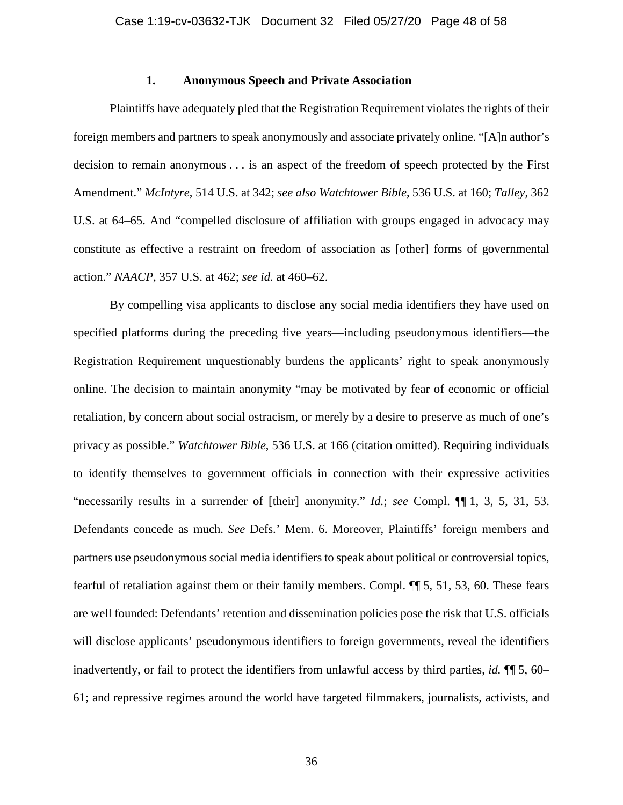#### **1. Anonymous Speech and Private Association**

Plaintiffs have adequately pled that the Registration Requirement violates the rights of their foreign members and partners to speak anonymously and associate privately online. "[A]n author's decision to remain anonymous . . . is an aspect of the freedom of speech protected by the First Amendment." *McIntyre*, 514 U.S. at 342; *see also Watchtower Bible*, 536 U.S. at 160; *Talley*, 362 U.S. at 64–65. And "compelled disclosure of affiliation with groups engaged in advocacy may constitute as effective a restraint on freedom of association as [other] forms of governmental action." *NAACP*, 357 U.S. at 462; *see id.* at 460–62.

By compelling visa applicants to disclose any social media identifiers they have used on specified platforms during the preceding five years—including pseudonymous identifiers—the Registration Requirement unquestionably burdens the applicants' right to speak anonymously online. The decision to maintain anonymity "may be motivated by fear of economic or official retaliation, by concern about social ostracism, or merely by a desire to preserve as much of one's privacy as possible." *Watchtower Bible*, 536 U.S. at 166 (citation omitted). Requiring individuals to identify themselves to government officials in connection with their expressive activities "necessarily results in a surrender of [their] anonymity." *Id.*; *see* Compl. ¶¶ 1, 3, 5, 31, 53. Defendants concede as much. *See* Defs.' Mem. 6. Moreover, Plaintiffs' foreign members and partners use pseudonymous social media identifiers to speak about political or controversial topics, fearful of retaliation against them or their family members. Compl. ¶¶ 5, 51, 53, 60. These fears are well founded: Defendants' retention and dissemination policies pose the risk that U.S. officials will disclose applicants' pseudonymous identifiers to foreign governments, reveal the identifiers inadvertently, or fail to protect the identifiers from unlawful access by third parties, *id.* ¶¶ 5, 60– 61; and repressive regimes around the world have targeted filmmakers, journalists, activists, and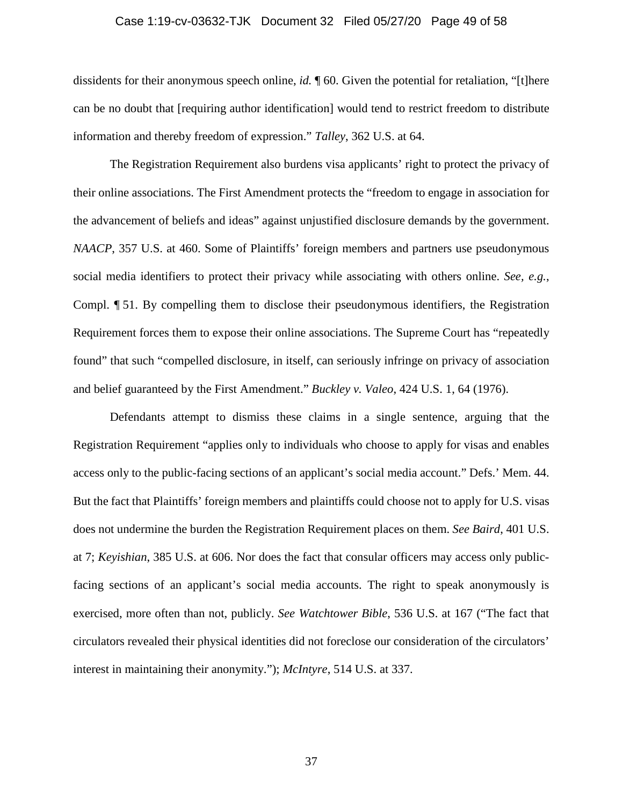#### Case 1:19-cv-03632-TJK Document 32 Filed 05/27/20 Page 49 of 58

dissidents for their anonymous speech online, *id.* ¶ 60. Given the potential for retaliation, "[t]here can be no doubt that [requiring author identification] would tend to restrict freedom to distribute information and thereby freedom of expression." *Talley*, 362 U.S. at 64.

The Registration Requirement also burdens visa applicants' right to protect the privacy of their online associations. The First Amendment protects the "freedom to engage in association for the advancement of beliefs and ideas" against unjustified disclosure demands by the government. *NAACP*, 357 U.S. at 460. Some of Plaintiffs' foreign members and partners use pseudonymous social media identifiers to protect their privacy while associating with others online. *See, e.g.*, Compl. ¶ 51. By compelling them to disclose their pseudonymous identifiers, the Registration Requirement forces them to expose their online associations. The Supreme Court has "repeatedly found" that such "compelled disclosure, in itself, can seriously infringe on privacy of association and belief guaranteed by the First Amendment." *Buckley v. Valeo*, 424 U.S. 1, 64 (1976).

Defendants attempt to dismiss these claims in a single sentence, arguing that the Registration Requirement "applies only to individuals who choose to apply for visas and enables access only to the public-facing sections of an applicant's social media account." Defs.' Mem. 44. But the fact that Plaintiffs' foreign members and plaintiffs could choose not to apply for U.S. visas does not undermine the burden the Registration Requirement places on them. *See Baird*, 401 U.S. at 7; *Keyishian*, 385 U.S. at 606. Nor does the fact that consular officers may access only publicfacing sections of an applicant's social media accounts. The right to speak anonymously is exercised, more often than not, publicly. *See Watchtower Bible*, 536 U.S. at 167 ("The fact that circulators revealed their physical identities did not foreclose our consideration of the circulators' interest in maintaining their anonymity."); *McIntyre*, 514 U.S. at 337.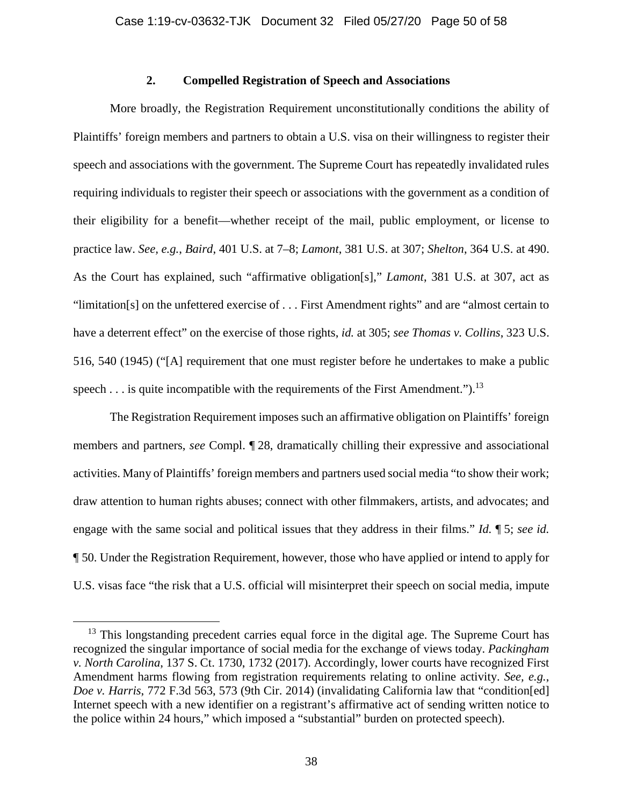# **2. Compelled Registration of Speech and Associations**

More broadly, the Registration Requirement unconstitutionally conditions the ability of Plaintiffs' foreign members and partners to obtain a U.S. visa on their willingness to register their speech and associations with the government. The Supreme Court has repeatedly invalidated rules requiring individuals to register their speech or associations with the government as a condition of their eligibility for a benefit—whether receipt of the mail, public employment, or license to practice law. *See, e.g.*, *Baird*, 401 U.S. at 7–8; *Lamont*, 381 U.S. at 307; *Shelton*, 364 U.S. at 490. As the Court has explained, such "affirmative obligation[s]," *Lamont*, 381 U.S. at 307, act as "limitation[s] on the unfettered exercise of . . . First Amendment rights" and are "almost certain to have a deterrent effect" on the exercise of those rights, *id.* at 305; *see Thomas v. Collins*, 323 U.S. 516, 540 (1945) ("[A] requirement that one must register before he undertakes to make a public speech  $\dots$  is quite incompatible with the requirements of the First Amendment.").<sup>13</sup>

The Registration Requirement imposes such an affirmative obligation on Plaintiffs' foreign members and partners, *see* Compl. ¶ 28, dramatically chilling their expressive and associational activities. Many of Plaintiffs' foreign members and partners used social media "to show their work; draw attention to human rights abuses; connect with other filmmakers, artists, and advocates; and engage with the same social and political issues that they address in their films." *Id.* ¶ 5; *see id.* ¶ 50. Under the Registration Requirement, however, those who have applied or intend to apply for U.S. visas face "the risk that a U.S. official will misinterpret their speech on social media, impute

 $13$  This longstanding precedent carries equal force in the digital age. The Supreme Court has recognized the singular importance of social media for the exchange of views today. *Packingham v. North Carolina*, 137 S. Ct. 1730, 1732 (2017). Accordingly, lower courts have recognized First Amendment harms flowing from registration requirements relating to online activity. *See, e.g.*, *Doe v. Harris*, 772 F.3d 563, 573 (9th Cir. 2014) (invalidating California law that "condition[ed] Internet speech with a new identifier on a registrant's affirmative act of sending written notice to the police within 24 hours," which imposed a "substantial" burden on protected speech).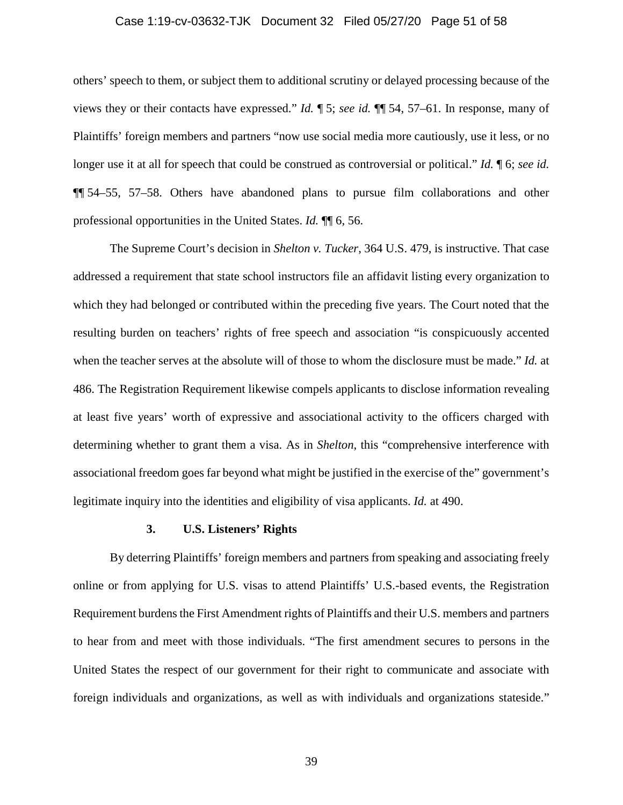#### Case 1:19-cv-03632-TJK Document 32 Filed 05/27/20 Page 51 of 58

others' speech to them, or subject them to additional scrutiny or delayed processing because of the views they or their contacts have expressed." *Id.* ¶ 5; *see id.* ¶¶ 54, 57–61. In response, many of Plaintiffs' foreign members and partners "now use social media more cautiously, use it less, or no longer use it at all for speech that could be construed as controversial or political." *Id.* ¶ 6; *see id.* ¶¶ 54–55, 57–58. Others have abandoned plans to pursue film collaborations and other professional opportunities in the United States. *Id.* ¶¶ 6, 56.

The Supreme Court's decision in *Shelton v. Tucker*, 364 U.S. 479, is instructive. That case addressed a requirement that state school instructors file an affidavit listing every organization to which they had belonged or contributed within the preceding five years. The Court noted that the resulting burden on teachers' rights of free speech and association "is conspicuously accented when the teacher serves at the absolute will of those to whom the disclosure must be made." *Id.* at 486. The Registration Requirement likewise compels applicants to disclose information revealing at least five years' worth of expressive and associational activity to the officers charged with determining whether to grant them a visa. As in *Shelton*, this "comprehensive interference with associational freedom goes far beyond what might be justified in the exercise of the" government's legitimate inquiry into the identities and eligibility of visa applicants. *Id.* at 490.

#### **3. U.S. Listeners' Rights**

By deterring Plaintiffs' foreign members and partners from speaking and associating freely online or from applying for U.S. visas to attend Plaintiffs' U.S.-based events, the Registration Requirement burdens the First Amendment rights of Plaintiffs and their U.S. members and partners to hear from and meet with those individuals. "The first amendment secures to persons in the United States the respect of our government for their right to communicate and associate with foreign individuals and organizations, as well as with individuals and organizations stateside."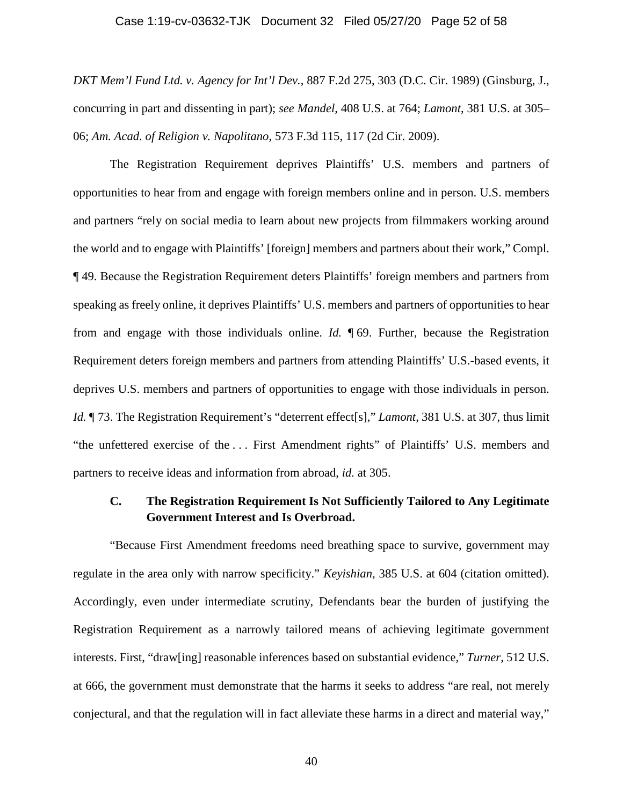#### Case 1:19-cv-03632-TJK Document 32 Filed 05/27/20 Page 52 of 58

*DKT Mem'l Fund Ltd. v. Agency for Int'l Dev.*, 887 F.2d 275, 303 (D.C. Cir. 1989) (Ginsburg, J., concurring in part and dissenting in part); *see Mandel*, 408 U.S. at 764; *Lamont*, 381 U.S. at 305– 06; *Am. Acad. of Religion v. Napolitano*, 573 F.3d 115, 117 (2d Cir. 2009).

The Registration Requirement deprives Plaintiffs' U.S. members and partners of opportunities to hear from and engage with foreign members online and in person. U.S. members and partners "rely on social media to learn about new projects from filmmakers working around the world and to engage with Plaintiffs' [foreign] members and partners about their work," Compl. ¶ 49. Because the Registration Requirement deters Plaintiffs' foreign members and partners from speaking as freely online, it deprives Plaintiffs' U.S. members and partners of opportunities to hear from and engage with those individuals online. *Id.* ¶ 69. Further, because the Registration Requirement deters foreign members and partners from attending Plaintiffs' U.S.-based events, it deprives U.S. members and partners of opportunities to engage with those individuals in person. *Id.*  $\parallel$  73. The Registration Requirement's "deterrent effect[s]," *Lamont*, 381 U.S. at 307, thus limit "the unfettered exercise of the . . . First Amendment rights" of Plaintiffs' U.S. members and partners to receive ideas and information from abroad, *id.* at 305.

# **C. The Registration Requirement Is Not Sufficiently Tailored to Any Legitimate Government Interest and Is Overbroad.**

"Because First Amendment freedoms need breathing space to survive, government may regulate in the area only with narrow specificity." *Keyishian*, 385 U.S. at 604 (citation omitted). Accordingly, even under intermediate scrutiny, Defendants bear the burden of justifying the Registration Requirement as a narrowly tailored means of achieving legitimate government interests. First, "draw[ing] reasonable inferences based on substantial evidence," *Turner*, 512 U.S. at 666, the government must demonstrate that the harms it seeks to address "are real, not merely conjectural, and that the regulation will in fact alleviate these harms in a direct and material way,"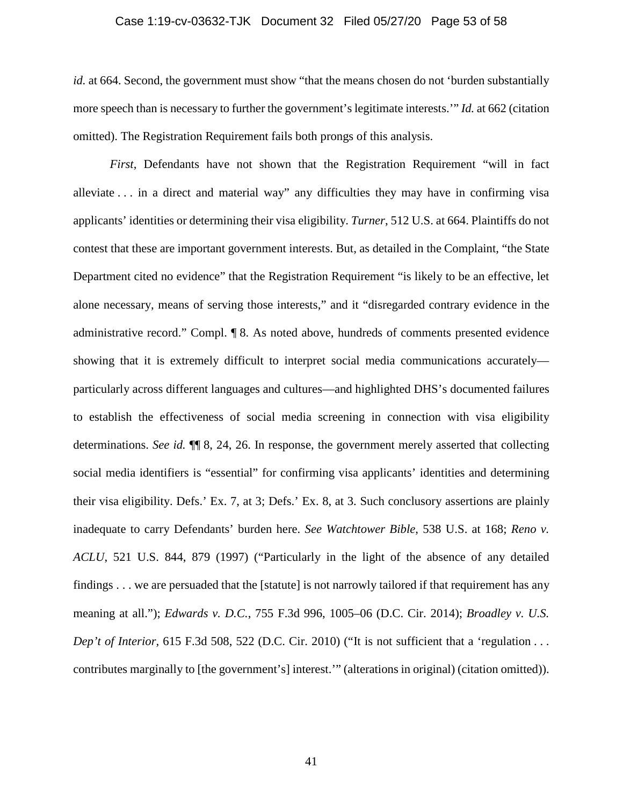#### Case 1:19-cv-03632-TJK Document 32 Filed 05/27/20 Page 53 of 58

*id.* at 664. Second, the government must show "that the means chosen do not 'burden substantially more speech than is necessary to further the government's legitimate interests.'" *Id.* at 662 (citation omitted). The Registration Requirement fails both prongs of this analysis.

*First*, Defendants have not shown that the Registration Requirement "will in fact alleviate . . . in a direct and material way" any difficulties they may have in confirming visa applicants' identities or determining their visa eligibility. *Turner*, 512 U.S. at 664. Plaintiffs do not contest that these are important government interests. But, as detailed in the Complaint, "the State Department cited no evidence" that the Registration Requirement "is likely to be an effective, let alone necessary, means of serving those interests," and it "disregarded contrary evidence in the administrative record." Compl. ¶ 8. As noted above, hundreds of comments presented evidence showing that it is extremely difficult to interpret social media communications accurately particularly across different languages and cultures—and highlighted DHS's documented failures to establish the effectiveness of social media screening in connection with visa eligibility determinations. *See id.* ¶¶ 8, 24, 26. In response, the government merely asserted that collecting social media identifiers is "essential" for confirming visa applicants' identities and determining their visa eligibility. Defs.' Ex. 7, at 3; Defs.' Ex. 8, at 3. Such conclusory assertions are plainly inadequate to carry Defendants' burden here. *See Watchtower Bible*, 538 U.S. at 168; *Reno v. ACLU*, 521 U.S. 844, 879 (1997) ("Particularly in the light of the absence of any detailed findings . . . we are persuaded that the [statute] is not narrowly tailored if that requirement has any meaning at all."); *Edwards v. D.C.*, 755 F.3d 996, 1005–06 (D.C. Cir. 2014); *Broadley v. U.S. Dep't of Interior,* 615 F.3d 508, 522 (D.C. Cir. 2010) ("It is not sufficient that a 'regulation . . . contributes marginally to [the government's] interest.'" (alterations in original) (citation omitted)).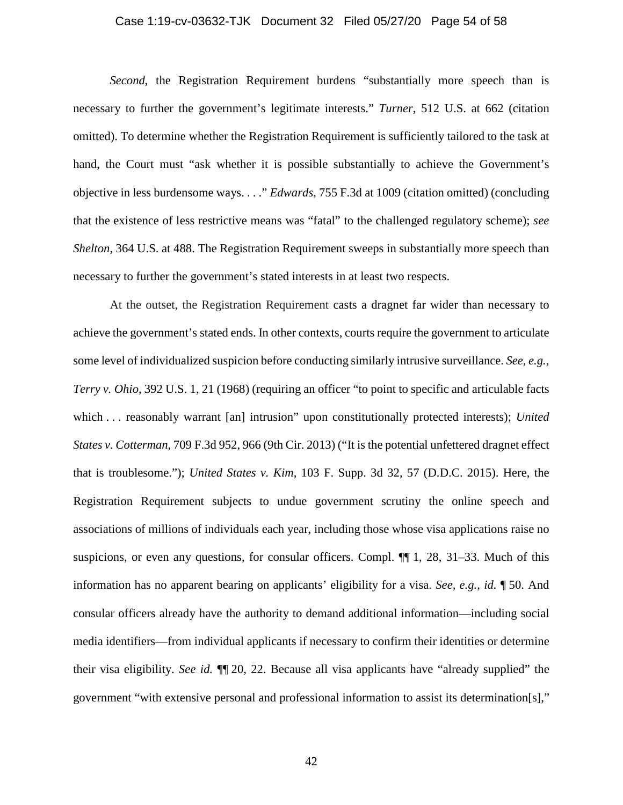#### Case 1:19-cv-03632-TJK Document 32 Filed 05/27/20 Page 54 of 58

*Second*, the Registration Requirement burdens "substantially more speech than is necessary to further the government's legitimate interests." *Turner*, 512 U.S. at 662 (citation omitted). To determine whether the Registration Requirement is sufficiently tailored to the task at hand, the Court must "ask whether it is possible substantially to achieve the Government's objective in less burdensome ways. . . ." *Edwards*, 755 F.3d at 1009 (citation omitted) (concluding that the existence of less restrictive means was "fatal" to the challenged regulatory scheme); *see Shelton*, 364 U.S. at 488. The Registration Requirement sweeps in substantially more speech than necessary to further the government's stated interests in at least two respects.

At the outset, the Registration Requirement casts a dragnet far wider than necessary to achieve the government's stated ends. In other contexts, courts require the government to articulate some level of individualized suspicion before conducting similarly intrusive surveillance. *See, e.g.*, *Terry v. Ohio*, 392 U.S. 1, 21 (1968) (requiring an officer "to point to specific and articulable facts which . . . reasonably warrant [an] intrusion" upon constitutionally protected interests); *United States v. Cotterman*, 709 F.3d 952, 966 (9th Cir. 2013) ("It is the potential unfettered dragnet effect that is troublesome."); *United States v. Kim*, 103 F. Supp. 3d 32, 57 (D.D.C. 2015). Here, the Registration Requirement subjects to undue government scrutiny the online speech and associations of millions of individuals each year, including those whose visa applications raise no suspicions, or even any questions, for consular officers. Compl. ¶¶ 1, 28, 31–33. Much of this information has no apparent bearing on applicants' eligibility for a visa. *See, e.g.*, *id.* ¶ 50. And consular officers already have the authority to demand additional information—including social media identifiers—from individual applicants if necessary to confirm their identities or determine their visa eligibility. *See id.* ¶¶ 20, 22. Because all visa applicants have "already supplied" the government "with extensive personal and professional information to assist its determination[s],"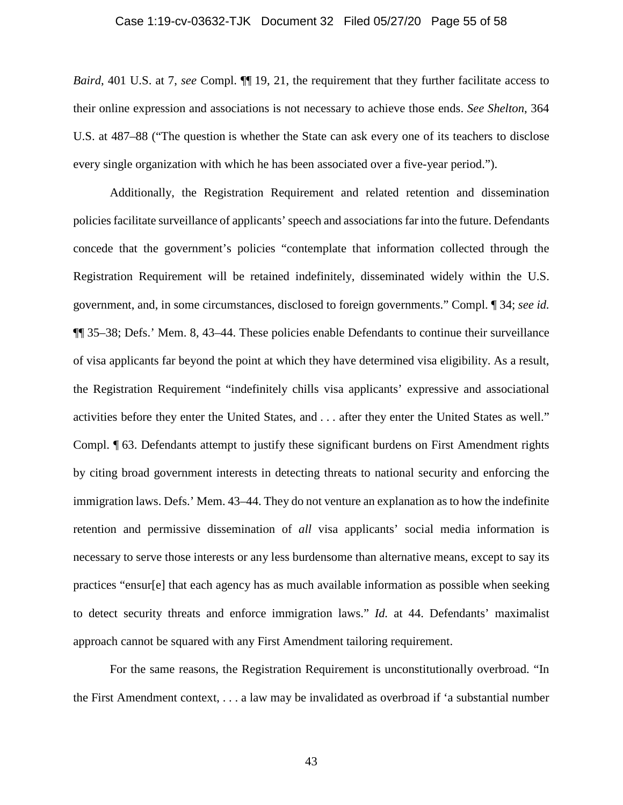#### Case 1:19-cv-03632-TJK Document 32 Filed 05/27/20 Page 55 of 58

*Baird*, 401 U.S. at 7, *see* Compl.  $\P\P$  19, 21, the requirement that they further facilitate access to their online expression and associations is not necessary to achieve those ends. *See Shelton*, 364 U.S. at 487–88 ("The question is whether the State can ask every one of its teachers to disclose every single organization with which he has been associated over a five-year period.").

Additionally, the Registration Requirement and related retention and dissemination policies facilitate surveillance of applicants' speech and associations far into the future. Defendants concede that the government's policies "contemplate that information collected through the Registration Requirement will be retained indefinitely, disseminated widely within the U.S. government, and, in some circumstances, disclosed to foreign governments." Compl. ¶ 34; *see id.* ¶¶ 35–38; Defs.' Mem. 8, 43–44. These policies enable Defendants to continue their surveillance of visa applicants far beyond the point at which they have determined visa eligibility. As a result, the Registration Requirement "indefinitely chills visa applicants' expressive and associational activities before they enter the United States, and . . . after they enter the United States as well." Compl. ¶ 63. Defendants attempt to justify these significant burdens on First Amendment rights by citing broad government interests in detecting threats to national security and enforcing the immigration laws. Defs.' Mem. 43–44. They do not venture an explanation as to how the indefinite retention and permissive dissemination of *all* visa applicants' social media information is necessary to serve those interests or any less burdensome than alternative means, except to say its practices "ensur[e] that each agency has as much available information as possible when seeking to detect security threats and enforce immigration laws." *Id.* at 44. Defendants' maximalist approach cannot be squared with any First Amendment tailoring requirement.

For the same reasons, the Registration Requirement is unconstitutionally overbroad. "In the First Amendment context, . . . a law may be invalidated as overbroad if 'a substantial number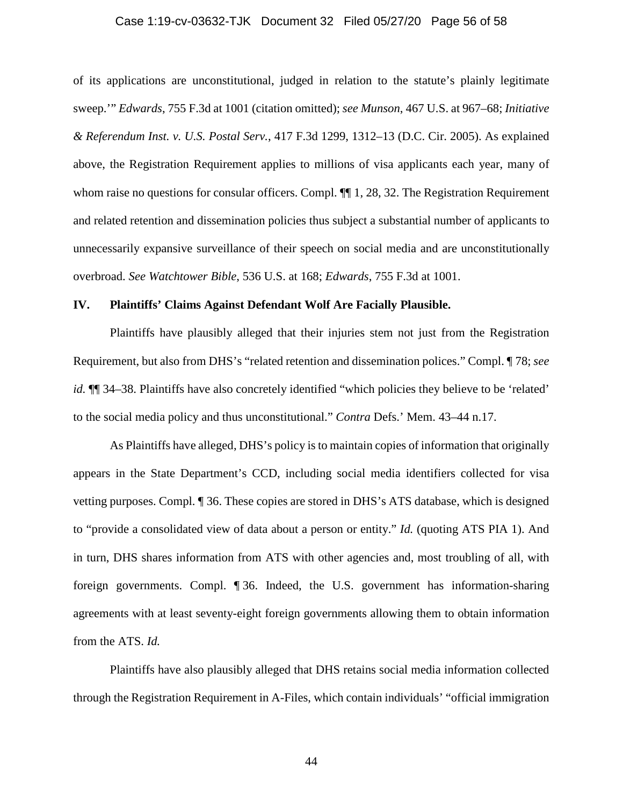#### Case 1:19-cv-03632-TJK Document 32 Filed 05/27/20 Page 56 of 58

of its applications are unconstitutional, judged in relation to the statute's plainly legitimate sweep.'" *Edwards*, 755 F.3d at 1001 (citation omitted); *see Munson*, 467 U.S. at 967–68; *Initiative & Referendum Inst. v. U.S. Postal Serv.*, 417 F.3d 1299, 1312–13 (D.C. Cir. 2005). As explained above, the Registration Requirement applies to millions of visa applicants each year, many of whom raise no questions for consular officers. Compl.  $\P$ [1, 28, 32. The Registration Requirement and related retention and dissemination policies thus subject a substantial number of applicants to unnecessarily expansive surveillance of their speech on social media and are unconstitutionally overbroad. *See Watchtower Bible*, 536 U.S. at 168; *Edwards*, 755 F.3d at 1001.

#### **IV. Plaintiffs' Claims Against Defendant Wolf Are Facially Plausible.**

Plaintiffs have plausibly alleged that their injuries stem not just from the Registration Requirement, but also from DHS's "related retention and dissemination polices." Compl. ¶ 78; *see id.*  $\P$  34–38. Plaintiffs have also concretely identified "which policies they believe to be 'related' to the social media policy and thus unconstitutional." *Contra* Defs.' Mem. 43–44 n.17.

As Plaintiffs have alleged, DHS's policy is to maintain copies of information that originally appears in the State Department's CCD, including social media identifiers collected for visa vetting purposes. Compl. ¶ 36. These copies are stored in DHS's ATS database, which is designed to "provide a consolidated view of data about a person or entity." *Id.* (quoting ATS PIA 1). And in turn, DHS shares information from ATS with other agencies and, most troubling of all, with foreign governments. Compl. ¶ 36. Indeed, the U.S. government has information-sharing agreements with at least seventy-eight foreign governments allowing them to obtain information from the ATS. *Id.*

Plaintiffs have also plausibly alleged that DHS retains social media information collected through the Registration Requirement in A-Files, which contain individuals' "official immigration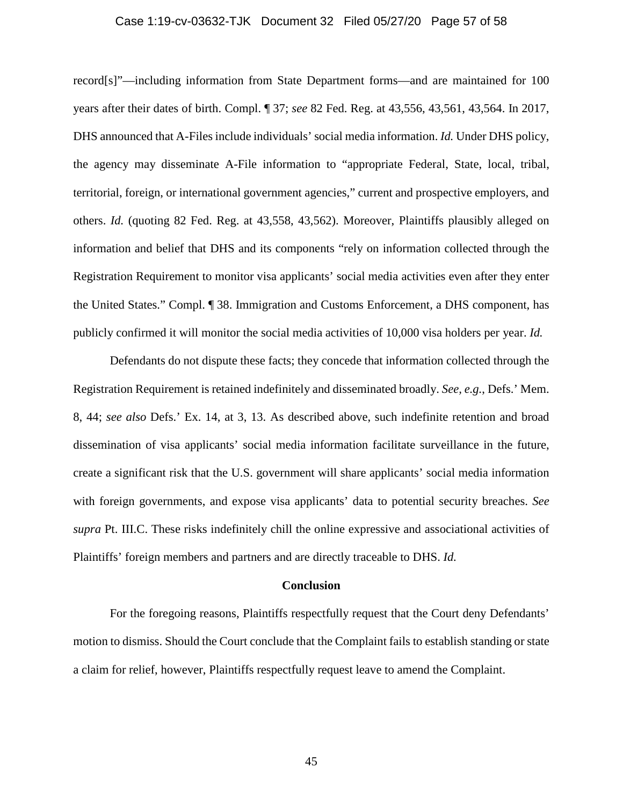#### Case 1:19-cv-03632-TJK Document 32 Filed 05/27/20 Page 57 of 58

record[s]"—including information from State Department forms—and are maintained for 100 years after their dates of birth. Compl. ¶ 37; *see* 82 Fed. Reg. at 43,556, 43,561, 43,564. In 2017, DHS announced that A-Files include individuals' social media information. *Id.* Under DHS policy, the agency may disseminate A-File information to "appropriate Federal, State, local, tribal, territorial, foreign, or international government agencies," current and prospective employers, and others. *Id.* (quoting 82 Fed. Reg. at 43,558, 43,562). Moreover, Plaintiffs plausibly alleged on information and belief that DHS and its components "rely on information collected through the Registration Requirement to monitor visa applicants' social media activities even after they enter the United States." Compl. ¶ 38. Immigration and Customs Enforcement, a DHS component, has publicly confirmed it will monitor the social media activities of 10,000 visa holders per year. *Id.*

Defendants do not dispute these facts; they concede that information collected through the Registration Requirement is retained indefinitely and disseminated broadly. *See, e.g.*, Defs.' Mem. 8, 44; *see also* Defs.' Ex. 14, at 3, 13. As described above, such indefinite retention and broad dissemination of visa applicants' social media information facilitate surveillance in the future, create a significant risk that the U.S. government will share applicants' social media information with foreign governments, and expose visa applicants' data to potential security breaches. *See supra* Pt. III.C. These risks indefinitely chill the online expressive and associational activities of Plaintiffs' foreign members and partners and are directly traceable to DHS. *Id.*

#### **Conclusion**

For the foregoing reasons, Plaintiffs respectfully request that the Court deny Defendants' motion to dismiss. Should the Court conclude that the Complaint fails to establish standing or state a claim for relief, however, Plaintiffs respectfully request leave to amend the Complaint.